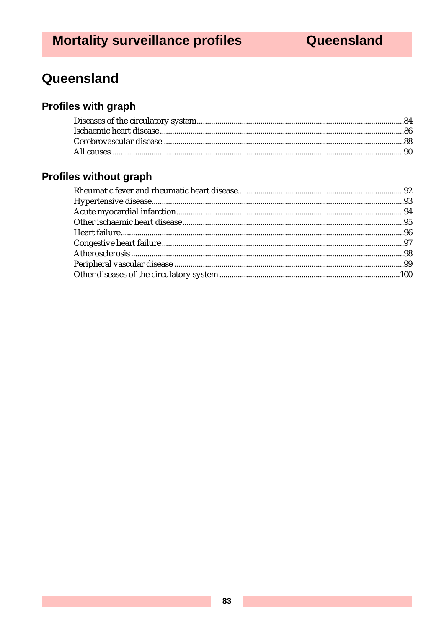# Queensland

# **Profiles with graph**

# Profiles without graph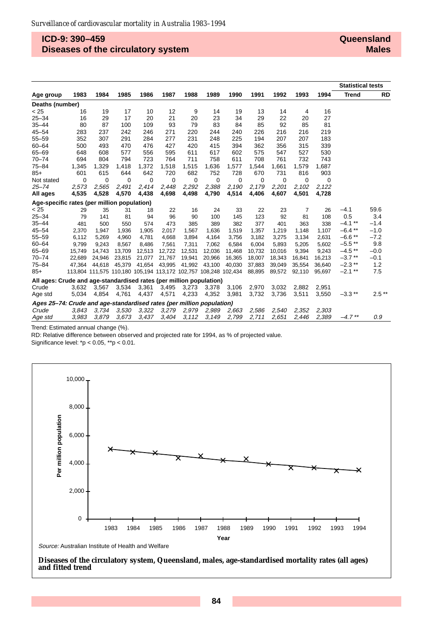## **ICD-9: 390–459 Diseases of the circulatory system**

#### **Queensland Males**

|                                                                       |             |          |        |                                                                 |        |             |          |        |        |        |        |        | <b>Statistical tests</b> |         |
|-----------------------------------------------------------------------|-------------|----------|--------|-----------------------------------------------------------------|--------|-------------|----------|--------|--------|--------|--------|--------|--------------------------|---------|
| Age group                                                             | 1983        | 1984     | 1985   | 1986                                                            | 1987   | 1988        | 1989     | 1990   | 1991   | 1992   | 1993   | 1994   | <b>Trend</b>             | RD      |
| Deaths (number)                                                       |             |          |        |                                                                 |        |             |          |        |        |        |        |        |                          |         |
| < 25                                                                  | 16          | 19       | 17     | 10                                                              | 12     | 9           | 14       | 19     | 13     | 14     | 4      | 16     |                          |         |
| $25 - 34$                                                             | 16          | 29       | 17     | 20                                                              | 21     | 20          | 23       | 34     | 29     | 22     | 20     | 27     |                          |         |
| $35 - 44$                                                             | 80          | 87       | 100    | 109                                                             | 93     | 79          | 83       | 84     | 85     | 92     | 85     | 81     |                          |         |
| $45 - 54$                                                             | 283         | 237      | 242    | 246                                                             | 271    | 220         | 244      | 240    | 226    | 216    | 216    | 219    |                          |         |
| $55 - 59$                                                             | 352         | 307      | 291    | 284                                                             | 277    | 231         | 248      | 225    | 194    | 207    | 207    | 183    |                          |         |
| $60 - 64$                                                             | 500         | 493      | 470    | 476                                                             | 427    | 420         | 415      | 394    | 362    | 356    | 315    | 339    |                          |         |
| $65 - 69$                                                             | 648         | 608      | 577    | 556                                                             | 595    | 611         | 617      | 602    | 575    | 547    | 527    | 530    |                          |         |
| $70 - 74$                                                             | 694         | 804      | 794    | 723                                                             | 764    | 711         | 758      | 611    | 708    | 761    | 732    | 743    |                          |         |
| $75 - 84$                                                             | 1,345       | 1,329    | 1,418  | 1,372                                                           | 1,518  | 1,515       | 1,636    | 1,577  | 1,544  | 1,661  | 1,579  | 1,687  |                          |         |
| $85+$                                                                 | 601         | 615      | 644    | 642                                                             | 720    | 682         | 752      | 728    | 670    | 731    | 816    | 903    |                          |         |
| Not stated                                                            | $\mathbf 0$ | $\Omega$ | 0      | $\Omega$                                                        | 0      | $\mathbf 0$ | $\Omega$ | 0      | 0      | 0      | 0      | 0      |                          |         |
| $25 - 74$                                                             | 2,573       | 2,565    | 2,491  | 2,414                                                           | 2,448  | 2,292       | 2,388    | 2,190  | 2,179  | 2,201  | 2,102  | 2,122  |                          |         |
| All ages                                                              | 4,535       | 4,528    | 4,570  | 4,438                                                           | 4,698  | 4,498       | 4,790    | 4,514  | 4,406  | 4,607  | 4,501  | 4,728  |                          |         |
| Age-specific rates (per million population)                           |             |          |        |                                                                 |        |             |          |        |        |        |        |        |                          |         |
| < 25                                                                  | 29          | 35       | 31     | 18                                                              | 22     | 16          | 24       | 33     | 22     | 23     | 7      | 26     | $-4.1$                   | 59.6    |
| $25 - 34$                                                             | 79          | 141      | 81     | 94                                                              | 96     | 90          | 100      | 145    | 123    | 92     | 81     | 108    | 0.5                      | 3.4     |
| $35 - 44$                                                             | 481         | 500      | 550    | 574                                                             | 473    | 385         | 389      | 382    | 377    | 401    | 363    | 338    | $-4.1$ **                | $-1.4$  |
| $45 - 54$                                                             | 2,370       | 1,947    | 1,936  | 1,905                                                           | 2,017  | 1,567       | 1,636    | 1,519  | 1,357  | 1,219  | 1,148  | 1,107  | $-6.4$ **                | $-1.0$  |
| $55 - 59$                                                             | 6,112       | 5,269    | 4,960  | 4,781                                                           | 4,668  | 3,894       | 4,164    | 3,756  | 3,182  | 3,275  | 3,134  | 2,631  | $-6.6**$                 | $-7.2$  |
| $60 - 64$                                                             | 9.799       | 9,243    | 8,567  | 8.486                                                           | 7,561  | 7,311       | 7,062    | 6.584  | 6.004  | 5.893  | 5.205  | 5,602  | $-5.5**$                 | 9.8     |
| $65 - 69$                                                             | 15,749      | 14,743   | 13,709 | 12,513                                                          | 12,722 | 12,531      | 12,036   | 11,468 | 10,732 | 10,016 | 9,394  | 9,243  | $-4.5**$                 | $-0.0$  |
| $70 - 74$                                                             | 22.689      | 24.946   | 23,815 | 21,077                                                          | 21,767 | 19,941      | 20,966   | 16,365 | 18,007 | 18,343 | 16,841 | 16,213 | $-3.7**$                 | $-0.1$  |
| $75 - 84$                                                             | 47.364      | 44,618   | 45,379 | 41,654                                                          | 43,995 | 41,992      | 43,100   | 40,030 | 37,883 | 39,049 | 35,554 | 36,640 | $-2.3$ **                | 1.2     |
| $85+$                                                                 |             |          |        | 113,804 111,575 110,180 105,194 113,172 102,757 108,248 102,434 |        |             |          |        | 88,895 | 89,572 | 92,110 | 95,697 | $-2.1$ **                | 7.5     |
| All ages: Crude and age-standardised rates (per million population)   |             |          |        |                                                                 |        |             |          |        |        |        |        |        |                          |         |
| Crude                                                                 | 3,632       | 3,567    | 3,534  | 3,361                                                           | 3,495  | 3,273       | 3,378    | 3,106  | 2,970  | 3,032  | 2.882  | 2.951  |                          |         |
| Age std                                                               | 5,034       | 4,854    | 4,761  | 4,437                                                           | 4,571  | 4,233       | 4,352    | 3,981  | 3,732  | 3,736  | 3,511  | 3,550  | $-3.3$ **                | $2.5**$ |
| Ages 25-74: Crude and age-standardised rates (per million population) |             |          |        |                                                                 |        |             |          |        |        |        |        |        |                          |         |
| Crude                                                                 | 3,843       | 3,734    | 3,530  | 3,322                                                           | 3,279  | 2,979       | 2,989    | 2,663  | 2,586  | 2,540  | 2,352  | 2,303  |                          |         |
| Age std                                                               | 3,983       | 3,879    | 3,673  | 3,437                                                           | 3,404  | 3,112       | 3,149    | 2,799  | 2,711  | 2,651  | 2,446  | 2,389  | $-4.7$ **                | 0.9     |

Trend: Estimated annual change (%).

RD: Relative difference between observed and projected rate for 1994, as % of projected value.

Significance level: \*p < 0.05, \*\*p < 0.01.



**Diseases of the circulatory system, Queensland, males, age-standardised mortality rates (all ages) and fitted trend**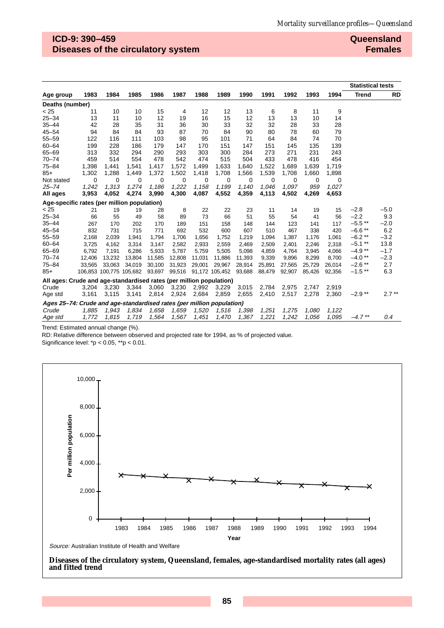## **ICD-9: 390–459 Diseases of the circulatory system**

#### **Queensland Females**

|                                                                       |        |          |                         |        |             |        |                              |             |             |        |        |        | <b>Statistical tests</b> |           |
|-----------------------------------------------------------------------|--------|----------|-------------------------|--------|-------------|--------|------------------------------|-------------|-------------|--------|--------|--------|--------------------------|-----------|
| Age group                                                             | 1983   | 1984     | 1985                    | 1986   | 1987        | 1988   | 1989                         | 1990        | 1991        | 1992   | 1993   | 1994   | <b>Trend</b>             | <b>RD</b> |
| Deaths (number)                                                       |        |          |                         |        |             |        |                              |             |             |        |        |        |                          |           |
| < 25                                                                  | 11     | 10       | 10                      | 15     | 4           | 12     | 12                           | 13          | 6           | 8      | 11     | 9      |                          |           |
| $25 - 34$                                                             | 13     | 11       | 10                      | 12     | 19          | 16     | 15                           | 12          | 13          | 13     | 10     | 14     |                          |           |
| $35 - 44$                                                             | 42     | 28       | 35                      | 31     | 36          | 30     | 33                           | 32          | 32          | 28     | 33     | 28     |                          |           |
| $45 - 54$                                                             | 94     | 84       | 84                      | 93     | 87          | 70     | 84                           | 90          | 80          | 78     | 60     | 79     |                          |           |
| $55 - 59$                                                             | 122    | 116      | 111                     | 103    | 98          | 95     | 101                          | 71          | 64          | 84     | 74     | 70     |                          |           |
| $60 - 64$                                                             | 199    | 228      | 186                     | 179    | 147         | 170    | 151                          | 147         | 151         | 145    | 135    | 139    |                          |           |
| $65 - 69$                                                             | 313    | 332      | 294                     | 290    | 293         | 303    | 300                          | 284         | 273         | 271    | 231    | 243    |                          |           |
| $70 - 74$                                                             | 459    | 514      | 554                     | 478    | 542         | 474    | 515                          | 504         | 433         | 478    | 416    | 454    |                          |           |
| $75 - 84$                                                             | 1,398  | 1,441    | 1,541                   | 1,417  | 1,572       | 1,499  | 1,633                        | 1,640       | 1,522       | 1,689  | 1,639  | 1,719  |                          |           |
| $85+$                                                                 | 1,302  | 1,288    | 1,449                   | 1,372  | 1,502       | 1,418  | 1,708                        | 1,566       | 1,539       | 1,708  | 1,660  | 1,898  |                          |           |
| Not stated                                                            | 0      | $\Omega$ | 0                       | 0      | $\mathbf 0$ | 0      | 0                            | $\mathbf 0$ | $\mathbf 0$ | 0      | 0      | 0      |                          |           |
| $25 - 74$                                                             | 1,242  | 1,313    | 1,274                   | 1,186  | 1,222       | 1,158  | 1,199                        | 1,140       | 1,046       | 1,097  | 959    | 1,027  |                          |           |
| All ages                                                              | 3,953  | 4,052    | 4,274                   | 3,990  | 4,300       | 4,087  | 4,552                        | 4,359       | 4,113       | 4,502  | 4,269  | 4,653  |                          |           |
| Age-specific rates (per million population)                           |        |          |                         |        |             |        |                              |             |             |        |        |        |                          |           |
| < 25                                                                  | 21     | 19       | 19                      | 28     | 8           | 22     | 22                           | 23          | 11          | 14     | 19     | 15     | $-2.8$                   | $-5.0$    |
| $25 - 34$                                                             | 66     | 55       | 49                      | 58     | 89          | 73     | 66                           | 51          | 55          | 54     | 41     | 56     | $-2.2$                   | 9.3       |
| $35 - 44$                                                             | 267    | 170      | 202                     | 170    | 189         | 151    | 158                          | 148         | 144         | 123    | 141    | 117    | $-5.5$ **                | $-2.0$    |
| $45 - 54$                                                             | 832    | 731      | 715                     | 771    | 692         | 532    | 600                          | 607         | 510         | 467    | 338    | 420    | $-6.6$ **                | 6.2       |
| $55 - 59$                                                             | 2,168  | 2,039    | 1,941                   | 1,794  | 1,706       | 1,656  | 1,752                        | 1,219       | 1,094       | 1,387  | 1,176  | 1,061  | $-6.2**$                 | $-3.2$    |
| $60 - 64$                                                             | 3,725  | 4,162    | 3,314                   | 3,147  | 2,582       | 2,933  | 2,559                        | 2,469       | 2,509       | 2,401  | 2,246  | 2,318  | $-5.1$ **                | 13.8      |
| $65 - 69$                                                             | 6,792  | 7,191    | 6,286                   | 5,933  | 5,787       | 5,759  | 5,505                        | 5,098       | 4,859       | 4,764  | 3,945  | 4,066  | $-4.9**$                 | $-1.7$    |
| $70 - 74$                                                             | 12,406 | 13,232   | 13,804                  | 11,585 | 12,808      | 11,031 | 11,886                       | 11,393      | 9,339       | 9,896  | 8,299  | 8,700  | $-4.0**$                 | $-2.3$    |
| $75 - 84$                                                             | 33,565 | 33,063   | 34,019                  | 30,100 | 31,923      | 29,001 | 29,967                       | 28,914      | 25,891      | 27,565 | 25,729 | 26,014 | $-2.6$ **                | 2.7       |
| $85+$                                                                 |        |          | 106,853 100,775 105,682 | 93,697 |             |        | 99,516 91,172 105,452 93,688 |             | 88,479      | 92,907 | 85,426 | 92,356 | $-1.5$ **                | 6.3       |
| All ages: Crude and age-standardised rates (per million population)   |        |          |                         |        |             |        |                              |             |             |        |        |        |                          |           |
| Crude                                                                 | 3,204  | 3.230    | 3,344                   | 3,060  | 3,230       | 2,992  | 3,229                        | 3,015       | 2,784       | 2,975  | 2.747  | 2.919  |                          |           |
| Age std                                                               | 3,161  | 3,115    | 3,141                   | 2,814  | 2,924       | 2,684  | 2,859                        | 2,655       | 2,410       | 2,517  | 2,278  | 2,360  | $-2.9**$                 | $2.7***$  |
| Ages 25-74: Crude and age-standardised rates (per million population) |        |          |                         |        |             |        |                              |             |             |        |        |        |                          |           |
| Crude                                                                 | 1,885  | 1,943    | 1,834                   | 1,658  | 1,659       | 1,520  | 1,516                        | 1,398       | 1,251       | 1,275  | 1,080  | 1,122  |                          |           |
| Age std                                                               | 1,772  | 1,815    | 1,719                   | 1,564  | 1,567       | 1,451  | 1,470                        | 1,367       | 1,221       | 1,242  | 1,056  | 1,095  | $-4.7$ **                | 0.4       |

Trend: Estimated annual change (%).

RD: Relative difference between observed and projected rate for 1994, as % of projected value.

Significance level: \*p < 0.05, \*\*p < 0.01.



**Diseases of the circulatory system, Queensland, females, age-standardised mortality rates (all ages) and fitted trend**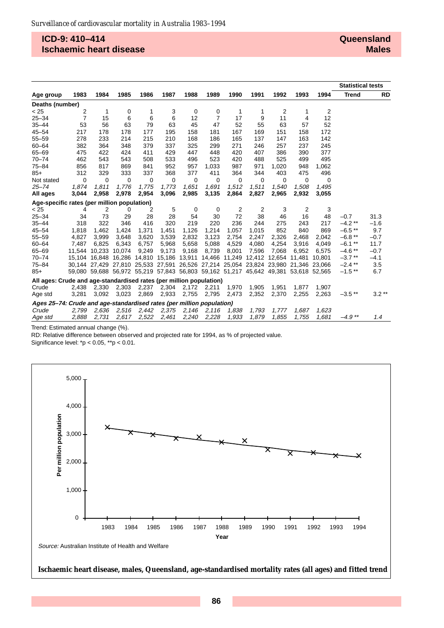### **ICD-9: 410–414 Ischaemic heart disease**

|                                                                       |        |                                                                                     |        |       |       |       |                |        |               |       |        |        | <b>Statistical tests</b> |           |
|-----------------------------------------------------------------------|--------|-------------------------------------------------------------------------------------|--------|-------|-------|-------|----------------|--------|---------------|-------|--------|--------|--------------------------|-----------|
| Age group                                                             | 1983   | 1984                                                                                | 1985   | 1986  | 1987  | 1988  | 1989           | 1990   | 1991          | 1992  | 1993   | 1994   | <b>Trend</b>             | <b>RD</b> |
| Deaths (number)                                                       |        |                                                                                     |        |       |       |       |                |        |               |       |        |        |                          |           |
| < 25                                                                  | 2      | 1                                                                                   | 0      | 1     | 3     | 0     | 0              | 1      | 1             | 2     | 1      | 2      |                          |           |
| $25 - 34$                                                             | 7      | 15                                                                                  | 6      | 6     | 6     | 12    | $\overline{7}$ | 17     | 9             | 11    | 4      | 12     |                          |           |
| $35 - 44$                                                             | 53     | 56                                                                                  | 63     | 79    | 63    | 45    | 47             | 52     | 55            | 63    | 57     | 52     |                          |           |
| $45 - 54$                                                             | 217    | 178                                                                                 | 178    | 177   | 195   | 158   | 181            | 167    | 169           | 151   | 158    | 172    |                          |           |
| $55 - 59$                                                             | 278    | 233                                                                                 | 214    | 215   | 210   | 168   | 186            | 165    | 137           | 147   | 163    | 142    |                          |           |
| $60 - 64$                                                             | 382    | 364                                                                                 | 348    | 379   | 337   | 325   | 299            | 271    | 246           | 257   | 237    | 245    |                          |           |
| $65 - 69$                                                             | 475    | 422                                                                                 | 424    | 411   | 429   | 447   | 448            | 420    | 407           | 386   | 390    | 377    |                          |           |
| $70 - 74$                                                             | 462    | 543                                                                                 | 543    | 508   | 533   | 496   | 523            | 420    | 488           | 525   | 499    | 495    |                          |           |
| $75 - 84$                                                             | 856    | 817                                                                                 | 869    | 841   | 952   | 957   | 1,033          | 987    | 971           | 1,020 | 948    | 1,062  |                          |           |
| $85+$                                                                 | 312    | 329                                                                                 | 333    | 337   | 368   | 377   | 411            | 364    | 344           | 403   | 475    | 496    |                          |           |
| Not stated                                                            | 0      | $\mathbf 0$                                                                         | 0      | 0     | 0     | 0     | 0              | 0      | 0             | 0     | 0      | 0      |                          |           |
| $25 - 74$                                                             | 1.874  | 1.811                                                                               | 1,776  | 1,775 | 1.773 | 1,651 | 1,691          | 1.512  | 1,511         | 1.540 | 1.508  | 1.495  |                          |           |
| All ages                                                              | 3,044  | 2,958                                                                               | 2,978  | 2,954 | 3,096 | 2,985 | 3,135          | 2,864  | 2,827         | 2,965 | 2,932  | 3,055  |                          |           |
| Age-specific rates (per million population)                           |        |                                                                                     |        |       |       |       |                |        |               |       |        |        |                          |           |
| < 25                                                                  | 4      | 2                                                                                   | 0      | 2     | 5     | 0     | 0              | 2      | 2             | 3     | 2      | 3      |                          |           |
| $25 - 34$                                                             | 34     | 73                                                                                  | 29     | 28    | 28    | 54    | 30             | 72     | 38            | 46    | 16     | 48     | $-0.7$                   | 31.3      |
| $35 - 44$                                                             | 318    | 322                                                                                 | 346    | 416   | 320   | 219   | 220            | 236    | 244           | 275   | 243    | 217    | $-4.2$ **                | $-1.6$    |
| $45 - 54$                                                             | 1,818  | 1,462                                                                               | 1,424  | 1,371 | 1,451 | 1,126 | 1,214          | 1,057  | 1,015         | 852   | 840    | 869    | $-6.5$ **                | 9.7       |
| $55 - 59$                                                             | 4,827  | 3,999                                                                               | 3,648  | 3,620 | 3,539 | 2,832 | 3,123          | 2,754  | 2,247         | 2,326 | 2.468  | 2.042  | $-6.8**$                 | $-0.7$    |
| $60 - 64$                                                             | 7,487  | 6,825                                                                               | 6,343  | 6,757 | 5,968 | 5,658 | 5,088          | 4,529  | 4,080         | 4,254 | 3,916  | 4,049  | $-6.1$ **                | 11.7      |
| $65 - 69$                                                             | 11.544 | 10.233                                                                              | 10,074 | 9,249 | 9,173 | 9,168 | 8,739          | 8,001  | 7,596         | 7.068 | 6.952  | 6,575  | $-4.6$ **                | $-0.7$    |
| $70 - 74$                                                             |        | 15,104 16,848 16,286 14,810 15,186 13,911                                           |        |       |       |       | 14,466         | 11,249 | 12,412 12,654 |       | 11,481 | 10.801 | $-3.7$ **                | $-4.1$    |
| $75 - 84$                                                             |        | 30,144 27,429 27,810 25,533 27,591 26,526 27,214 25,054 23,824 23,980 21,346        |        |       |       |       |                |        |               |       |        | 23.066 | $-2.4$ **                | 3.5       |
| $85+$                                                                 |        | 59,080 59,688 56,972 55,219 57,843 56,803 59,162 51,217 45,642 49,381 53,618 52,565 |        |       |       |       |                |        |               |       |        |        | $-1.5$ **                | 6.7       |
| All ages: Crude and age-standardised rates (per million population)   |        |                                                                                     |        |       |       |       |                |        |               |       |        |        |                          |           |
| Crude                                                                 | 2,438  | 2,330                                                                               | 2,303  | 2,237 | 2,304 | 2,172 | 2,211          | 1,970  | 1,905         | 1,951 | 1,877  | 1,907  |                          |           |
| Age std                                                               | 3,281  | 3,092                                                                               | 3,023  | 2,869 | 2,933 | 2,755 | 2,795          | 2,473  | 2,352         | 2,370 | 2,255  | 2,263  | $-3.5$ **                | $3.2**$   |
| Ages 25-74: Crude and age-standardised rates (per million population) |        |                                                                                     |        |       |       |       |                |        |               |       |        |        |                          |           |
| Crude                                                                 | 2,799  | 2,636                                                                               | 2,516  | 2,442 | 2,375 | 2,146 | 2,116          | 1,838  | 1,793         | 1,777 | 1.687  | 1,623  |                          |           |
| Age std                                                               | 2,888  | 2,731                                                                               | 2.617  | 2,522 | 2,461 | 2,240 | 2,228          | 1,933  | 1,879         | 1,855 | 1,755  | 1,681  | $-4.9**$                 | 1.4       |

Trend: Estimated annual change (%).

RD: Relative difference between observed and projected rate for 1994, as % of projected value.

Significance level: \*p < 0.05, \*\*p < 0.01.



**Ischaemic heart disease, males, Queensland, age-standardised mortality rates (all ages) and fitted trend**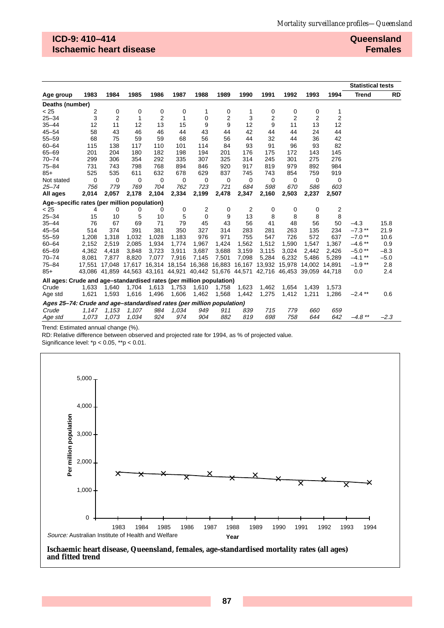## **ICD-9: 410–414 Ischaemic heart disease**

**Queensland Females**

|                                                                       |        |        |             |                |                                                                              |       |       |             |       |                |                |                | <b>Statistical tests</b> |           |
|-----------------------------------------------------------------------|--------|--------|-------------|----------------|------------------------------------------------------------------------------|-------|-------|-------------|-------|----------------|----------------|----------------|--------------------------|-----------|
| Age group                                                             | 1983   | 1984   | 1985        | 1986           | 1987                                                                         | 1988  | 1989  | 1990        | 1991  | 1992           | 1993           | 1994           | <b>Trend</b>             | <b>RD</b> |
| Deaths (number)                                                       |        |        |             |                |                                                                              |       |       |             |       |                |                |                |                          |           |
| < 25                                                                  | 2      | 0      | 0           | 0              | 0                                                                            | 1     | 0     | 1           | 0     | 0              | 0              | 1              |                          |           |
| $25 - 34$                                                             | 3      | 2      | 1           | $\overline{2}$ | 1                                                                            | 0     | 2     | 3           | 2     | $\overline{2}$ | $\overline{2}$ | $\overline{2}$ |                          |           |
| $35 - 44$                                                             | 12     | 11     | 12          | 13             | 15                                                                           | 9     | 9     | 12          | 9     | 11             | 13             | 12             |                          |           |
| $45 - 54$                                                             | 58     | 43     | 46          | 46             | 44                                                                           | 43    | 44    | 42          | 44    | 44             | 24             | 44             |                          |           |
| $55 - 59$                                                             | 68     | 75     | 59          | 59             | 68                                                                           | 56    | 56    | 44          | 32    | 44             | 36             | 42             |                          |           |
| $60 - 64$                                                             | 115    | 138    | 117         | 110            | 101                                                                          | 114   | 84    | 93          | 91    | 96             | 93             | 82             |                          |           |
| $65 - 69$                                                             | 201    | 204    | 180         | 182            | 198                                                                          | 194   | 201   | 176         | 175   | 172            | 143            | 145            |                          |           |
| $70 - 74$                                                             | 299    | 306    | 354         | 292            | 335                                                                          | 307   | 325   | 314         | 245   | 301            | 275            | 276            |                          |           |
| $75 - 84$                                                             | 731    | 743    | 798         | 768            | 894                                                                          | 846   | 920   | 917         | 819   | 979            | 892            | 984            |                          |           |
| $85+$                                                                 | 525    | 535    | 611         | 632            | 678                                                                          | 629   | 837   | 745         | 743   | 854            | 759            | 919            |                          |           |
| Not stated                                                            | 0      | 0      | $\mathbf 0$ | 0              | $\mathbf 0$                                                                  | 0     | 0     | $\mathbf 0$ | 0     | 0              | 0              | 0              |                          |           |
| $25 - 74$                                                             | 756    | 779    | 769         | 704            | 762                                                                          | 723   | 721   | 684         | 598   | 670            | 586            | 603            |                          |           |
| All ages                                                              | 2,014  | 2,057  | 2,178       | 2,104          | 2,334                                                                        | 2,199 | 2,478 | 2,347       | 2,160 | 2,503          | 2,237          | 2,507          |                          |           |
| Age-specific rates (per million population)                           |        |        |             |                |                                                                              |       |       |             |       |                |                |                |                          |           |
| < 25                                                                  | 4      | 0      | 0           | 0              | 0                                                                            | 2     | 0     | 2           | 0     | 0              | 0              | 2              |                          |           |
| $25 - 34$                                                             | 15     | 10     | 5           | 10             | 5                                                                            | 0     | 9     | 13          | 8     | 8              | 8              | 8              |                          |           |
| $35 - 44$                                                             | 76     | 67     | 69          | 71             | 79                                                                           | 45    | 43    | 56          | 41    | 48             | 56             | 50             | $-4.3$                   | 15.8      |
| $45 - 54$                                                             | 514    | 374    | 391         | 381            | 350                                                                          | 327   | 314   | 283         | 281   | 263            | 135            | 234            | $-7.3$ **                | 21.9      |
| $55 - 59$                                                             | 1,208  | 1,318  | 1,032       | 1.028          | 1.183                                                                        | 976   | 971   | 755         | 547   | 726            | 572            | 637            | $-7.0$ **                | 10.6      |
| $60 - 64$                                                             | 2,152  | 2,519  | 2,085       | 1,934          | 1,774                                                                        | 1,967 | 1,424 | 1,562       | 1,512 | 1,590          | 1,547          | 1,367          | $-4.6**$                 | 0.9       |
| $65 - 69$                                                             | 4,362  | 4,418  | 3,848       | 3,723          | 3,911                                                                        | 3,687 | 3,688 | 3,159       | 3,115 | 3,024          | 2,442          | 2,426          | $-5.0**$                 | $-8.3$    |
| $70 - 74$                                                             | 8,081  | 7,877  | 8,820       | 7,077          | 7,916                                                                        | 7,145 | 7,501 | 7,098       | 5,284 | 6,232          | 5,486          | 5,289          | $-4.1***$                | $-5.0$    |
| $75 - 84$                                                             | 17.551 | 17.048 | 17.617      |                | 16,314 18,154 16,368 16,883                                                  |       |       | 16,167      |       | 13,932 15,978  | 14.002         | 14.891         | $-1.9**$                 | 2.8       |
| $85+$                                                                 |        |        |             |                | 43,086 41,859 44,563 43,161 44,921 40,442 51,676 44,571 42,716 46,453 39,059 |       |       |             |       |                |                | 44.718         | 0.0                      | 2.4       |
| All ages: Crude and age–standardised rates (per million population)   |        |        |             |                |                                                                              |       |       |             |       |                |                |                |                          |           |
| Crude                                                                 | 1,633  | 1,640  | 1,704       | 1,613          | 1,753                                                                        | 1,610 | 1,758 | 1,623       | 1,462 | 1,654          | 1.439          | 1.573          |                          |           |
| Age std                                                               | 1,621  | 1,593  | 1,616       | 1,496          | 1,606                                                                        | 1,462 | 1,568 | 1,442       | 1,275 | 1,412          | 1,211          | 1,286          | $-2.4$ **                | 0.6       |
| Ages 25–74: Crude and age–standardised rates (per million population) |        |        |             |                |                                                                              |       |       |             |       |                |                |                |                          |           |
| Crude                                                                 | 1,147  | 1,153  | 1,107       | 984            | 1,034                                                                        | 949   | 911   | 839         | 715   | 779            | 660            | 659            |                          |           |
| Age std                                                               | 1,073  | 1,073  | 1,034       | 924            | 974                                                                          | 904   | 882   | 819         | 698   | 758            | 644            | 642            | $-4.8$ **                | $-2.3$    |

Trend: Estimated annual change (%).

RD: Relative difference between observed and projected rate for 1994, as % of projected value.

Significance level:  $\sp{\star}$   $p$  < 0.05,  $\sp{\star}$   $\sp{\star}$   $p$  < 0.01.



**and fitted trend**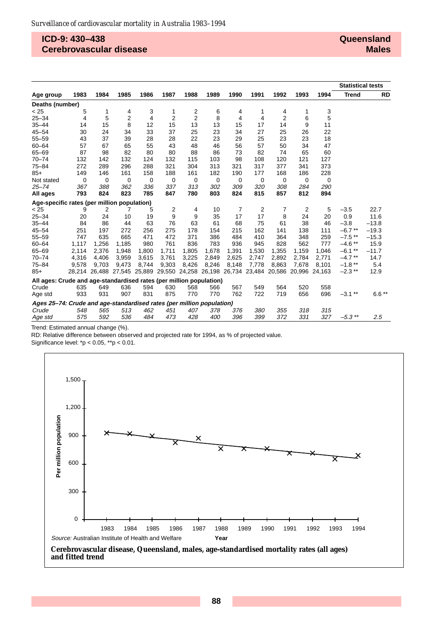#### **ICD-9: 430–438 Cerebrovascular disease**

|                                                                       |       |       |       |                                                                       |                |                |       |             |       |                |               |       | <b>Statistical tests</b> |         |
|-----------------------------------------------------------------------|-------|-------|-------|-----------------------------------------------------------------------|----------------|----------------|-------|-------------|-------|----------------|---------------|-------|--------------------------|---------|
| Age group                                                             | 1983  | 1984  | 1985  | 1986                                                                  | 1987           | 1988           | 1989  | 1990        | 1991  | 1992           | 1993          | 1994  | <b>Trend</b>             | RD      |
| Deaths (number)                                                       |       |       |       |                                                                       |                |                |       |             |       |                |               |       |                          |         |
| < 25                                                                  | 5     | 1     | 4     | 3                                                                     | 1              | 2              | 6     | 4           |       | 4              | 1             | 3     |                          |         |
| $25 - 34$                                                             | 4     | 5     | 2     | 4                                                                     | $\overline{2}$ | $\overline{2}$ | 8     | 4           | 4     | $\overline{2}$ | 6             | 5     |                          |         |
| $35 - 44$                                                             | 14    | 15    | 8     | 12                                                                    | 15             | 13             | 13    | 15          | 17    | 14             | 9             | 11    |                          |         |
| $45 - 54$                                                             | 30    | 24    | 34    | 33                                                                    | 37             | 25             | 23    | 34          | 27    | 25             | 26            | 22    |                          |         |
| $55 - 59$                                                             | 43    | 37    | 39    | 28                                                                    | 28             | 22             | 23    | 29          | 25    | 23             | 23            | 18    |                          |         |
| $60 - 64$                                                             | 57    | 67    | 65    | 55                                                                    | 43             | 48             | 46    | 56          | 57    | 50             | 34            | 47    |                          |         |
| $65 - 69$                                                             | 87    | 98    | 82    | 80                                                                    | 80             | 88             | 86    | 73          | 82    | 74             | 65            | 60    |                          |         |
| $70 - 74$                                                             | 132   | 142   | 132   | 124                                                                   | 132            | 115            | 103   | 98          | 108   | 120            | 121           | 127   |                          |         |
| $75 - 84$                                                             | 272   | 289   | 296   | 288                                                                   | 321            | 304            | 313   | 321         | 317   | 377            | 341           | 373   |                          |         |
| $85+$                                                                 | 149   | 146   | 161   | 158                                                                   | 188            | 161            | 182   | 190         | 177   | 168            | 186           | 228   |                          |         |
| Not stated                                                            | 0     | 0     | 0     | 0                                                                     | 0              | 0              | 0     | $\mathbf 0$ | 0     | 0              | 0             | 0     |                          |         |
| $25 - 74$                                                             | 367   | 388   | 362   | 336                                                                   | 337            | 313            | 302   | 309         | 320   | 308            | 284           | 290   |                          |         |
| All ages                                                              | 793   | 824   | 823   | 785                                                                   | 847            | 780            | 803   | 824         | 815   | 857            | 812           | 894   |                          |         |
| Age-specific rates (per million population)                           |       |       |       |                                                                       |                |                |       |             |       |                |               |       |                          |         |
| < 25                                                                  | 9     | 2     | 7     | 5                                                                     | 2              | 4              | 10    | 7           | 2     | 7              | 2             | 5     | $-3.5$                   | 22.7    |
| $25 - 34$                                                             | 20    | 24    | 10    | 19                                                                    | 9              | 9              | 35    | 17          | 17    | 8              | 24            | 20    | 0.9                      | 11.6    |
| $35 - 44$                                                             | 84    | 86    | 44    | 63                                                                    | 76             | 63             | 61    | 68          | 75    | 61             | 38            | 46    | $-3.8$                   | $-13.8$ |
| $45 - 54$                                                             | 251   | 197   | 272   | 256                                                                   | 275            | 178            | 154   | 215         | 162   | 141            | 138           | 111   | $-6.7$ **                | $-19.3$ |
| $55 - 59$                                                             | 747   | 635   | 665   | 471                                                                   | 472            | 371            | 386   | 484         | 410   | 364            | 348           | 259   | $-7.5$ **                | $-15.3$ |
| $60 - 64$                                                             | 1,117 | 1,256 | 1,185 | 980                                                                   | 761            | 836            | 783   | 936         | 945   | 828            | 562           | 777   | $-4.6$ **                | 15.9    |
| $65 - 69$                                                             | 2,114 | 2,376 | 1,948 | 1,800                                                                 | 1,711          | 1,805          | 1,678 | 1,391       | 1,530 | 1,355          | 1,159         | 1,046 | $-6.1$ **                | $-11.7$ |
| $70 - 74$                                                             | 4,316 | 4,406 | 3,959 | 3,615                                                                 | 3,761          | 3,225          | 2,849 | 2,625       | 2,747 | 2,892          | 2,784         | 2,771 | $-4.7$ **                | 14.7    |
| $75 - 84$                                                             | 9,578 | 9,703 | 9,473 | 8,744                                                                 | 9,303          | 8,426          | 8,246 | 8,148       | 7,778 | 8,863          | 7,678         | 8,101 | $-1.8$ **                | 5.4     |
| $85+$                                                                 |       |       |       | 28,214 26,488 27,545 25,889 29,550 24,258 26,198 26,734 23,484 20,586 |                |                |       |             |       |                | 20,996 24,163 |       | $-2.3$ **                | 12.9    |
| All ages: Crude and age-standardised rates (per million population)   |       |       |       |                                                                       |                |                |       |             |       |                |               |       |                          |         |
| Crude                                                                 | 635   | 649   | 636   | 594                                                                   | 630            | 568            | 566   | 567         | 549   | 564            | 520           | 558   |                          |         |
| Age std                                                               | 933   | 931   | 907   | 831                                                                   | 875            | 770            | 770   | 762         | 722   | 719            | 656           | 696   | $-3.1$ **                | $6.6**$ |
| Ages 25-74: Crude and age-standardised rates (per million population) |       |       |       |                                                                       |                |                |       |             |       |                |               |       |                          |         |
| Crude                                                                 | 548   | 565   | 513   | 462                                                                   | 451            | 407            | 378   | 376         | 380   | 355            | 318           | 315   |                          |         |
| Age std                                                               | 575   | 592   | 536   | 484                                                                   | 473            | 428            | 400   | 396         | 399   | 372            | 331           | 327   | $-5.3$ **                | 2.5     |

Trend: Estimated annual change (%).

RD: Relative difference between observed and projected rate for 1994, as % of projected value.

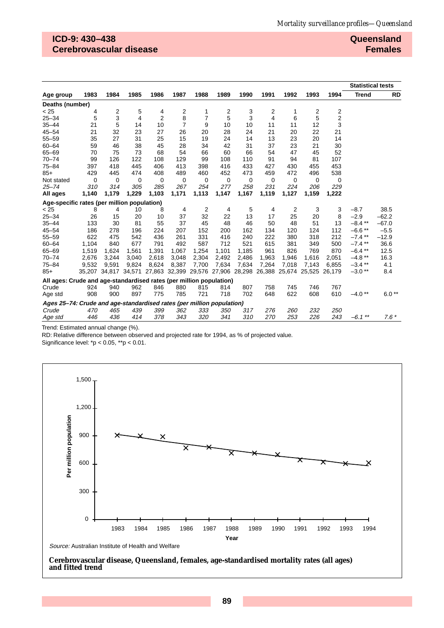## **ICD-9: 430–438 Cerebrovascular disease**

**Queensland Females**

|                                                                       |       |       |             |                                                                              |                |                |             |             |                |       |       |             | <b>Statistical tests</b> |           |
|-----------------------------------------------------------------------|-------|-------|-------------|------------------------------------------------------------------------------|----------------|----------------|-------------|-------------|----------------|-------|-------|-------------|--------------------------|-----------|
| Age group                                                             | 1983  | 1984  | 1985        | 1986                                                                         | 1987           | 1988           | 1989        | 1990        | 1991           | 1992  | 1993  | 1994        | <b>Trend</b>             | <b>RD</b> |
| Deaths (number)                                                       |       |       |             |                                                                              |                |                |             |             |                |       |       |             |                          |           |
| < 25                                                                  | 4     | 2     | 5           | 4                                                                            | 2              | 1              | 2           | 3           | 2              | 1     | 2     | 2           |                          |           |
| $25 - 34$                                                             | 5     | 3     | 4           | $\overline{2}$                                                               | 8              | $\overline{7}$ | 5           | 3           | $\overline{4}$ | 6     | 5     | 2           |                          |           |
| $35 - 44$                                                             | 21    | 5     | 14          | 10                                                                           | $\overline{7}$ | 9              | 10          | 10          | 11             | 11    | 12    | 3           |                          |           |
| $45 - 54$                                                             | 21    | 32    | 23          | 27                                                                           | 26             | 20             | 28          | 24          | 21             | 20    | 22    | 21          |                          |           |
| $55 - 59$                                                             | 35    | 27    | 31          | 25                                                                           | 15             | 19             | 24          | 14          | 13             | 23    | 20    | 14          |                          |           |
| $60 - 64$                                                             | 59    | 46    | 38          | 45                                                                           | 28             | 34             | 42          | 31          | 37             | 23    | 21    | 30          |                          |           |
| $65 - 69$                                                             | 70    | 75    | 73          | 68                                                                           | 54             | 66             | 60          | 66          | 54             | 47    | 45    | 52          |                          |           |
| $70 - 74$                                                             | 99    | 126   | 122         | 108                                                                          | 129            | 99             | 108         | 110         | 91             | 94    | 81    | 107         |                          |           |
| $75 - 84$                                                             | 397   | 418   | 445         | 406                                                                          | 413            | 398            | 416         | 433         | 427            | 430   | 455   | 453         |                          |           |
| $85+$                                                                 | 429   | 445   | 474         | 408                                                                          | 489            | 460            | 452         | 473         | 459            | 472   | 496   | 538         |                          |           |
| Not stated                                                            | 0     | 0     | $\mathbf 0$ | 0                                                                            | $\mathbf 0$    | 0              | $\mathbf 0$ | $\mathbf 0$ | 0              | 0     | 0     | $\mathbf 0$ |                          |           |
| $25 - 74$                                                             | 310   | 314   | 305         | 285                                                                          | 267            | 254            | 277         | 258         | 231            | 224   | 206   | 229         |                          |           |
| All ages                                                              | 1,140 | 1,179 | 1,229       | 1,103                                                                        | 1,171          | 1,113          | 1,147       | 1,167       | 1,119          | 1,127 | 1,159 | 1,222       |                          |           |
| Age-specific rates (per million population)                           |       |       |             |                                                                              |                |                |             |             |                |       |       |             |                          |           |
| < 25                                                                  | 8     | 4     | 10          | 8                                                                            | 4              | 2              | 4           | 5           | 4              | 2     | 3     | 3           | $-8.7$                   | 38.5      |
| $25 - 34$                                                             | 26    | 15    | 20          | 10                                                                           | 37             | 32             | 22          | 13          | 17             | 25    | 20    | 8           | $-2.9$                   | $-62.2$   |
| $35 - 44$                                                             | 133   | 30    | 81          | 55                                                                           | 37             | 45             | 48          | 46          | 50             | 48    | 51    | 13          | $-8.4$ **                | $-67.0$   |
| $45 - 54$                                                             | 186   | 278   | 196         | 224                                                                          | 207            | 152            | 200         | 162         | 134            | 120   | 124   | 112         | $-6.6**$                 | $-5.5$    |
| $55 - 59$                                                             | 622   | 475   | 542         | 436                                                                          | 261            | 331            | 416         | 240         | 222            | 380   | 318   | 212         | $-7.4$ **                | $-12.9$   |
| $60 - 64$                                                             | 1,104 | 840   | 677         | 791                                                                          | 492            | 587            | 712         | 521         | 615            | 381   | 349   | 500         | $-7.4$ **                | 36.6      |
| $65 - 69$                                                             | 1,519 | 1,624 | 1,561       | 1,391                                                                        | 1,067          | 1,254          | 1,101       | 1,185       | 961            | 826   | 769   | 870         | $-6.4***$                | 12.5      |
| $70 - 74$                                                             | 2,676 | 3,244 | 3,040       | 2,618                                                                        | 3,048          | 2,304          | 2,492       | 2,486       | 1,963          | 1,946 | 1,616 | 2,051       | $-4.8**$                 | 16.3      |
| $75 - 84$                                                             | 9,532 | 9.591 | 9,824       | 8,624                                                                        | 8,387          | 7,700          | 7,634       | 7.634       | 7,264          | 7,018 | 7,143 | 6,855       | $-3.4$ **                | 4.1       |
| $85+$                                                                 |       |       |             | 35,207 34,817 34,571 27,863 32,399 29,576 27,906 28,298 26,388 25,674 25,525 |                |                |             |             |                |       |       | 26.179      | $-3.0**$                 | 8.4       |
| All ages: Crude and age-standardised rates (per million population)   |       |       |             |                                                                              |                |                |             |             |                |       |       |             |                          |           |
| Crude                                                                 | 924   | 940   | 962         | 846                                                                          | 880            | 815            | 814         | 807         | 758            | 745   | 746   | 767         |                          |           |
| Age std                                                               | 908   | 900   | 897         | 775                                                                          | 785            | 721            | 718         | 702         | 648            | 622   | 608   | 610         | $-4.0**$                 | $6.0**$   |
| Ages 25-74: Crude and age-standardised rates (per million population) |       |       |             |                                                                              |                |                |             |             |                |       |       |             |                          |           |
| Crude                                                                 | 470   | 465   | 439         | 399                                                                          | 362            | 333            | 350         | 317         | 276            | 260   | 232   | <i>250</i>  |                          |           |
| Age std                                                               | 446   | 436   | 414         | 378                                                                          | 343            | 320            | 341         | 310         | 270            | 253   | 226   | 243         | $-6.1$ **                | $7.6*$    |

Trend: Estimated annual change (%).

RD: Relative difference between observed and projected rate for 1994, as % of projected value.

Significance level: \*p < 0.05, \*\*p < 0.01.



#### **Cerebrovascular disease, Queensland, females, age-standardised mortality rates (all ages) and fitted trend**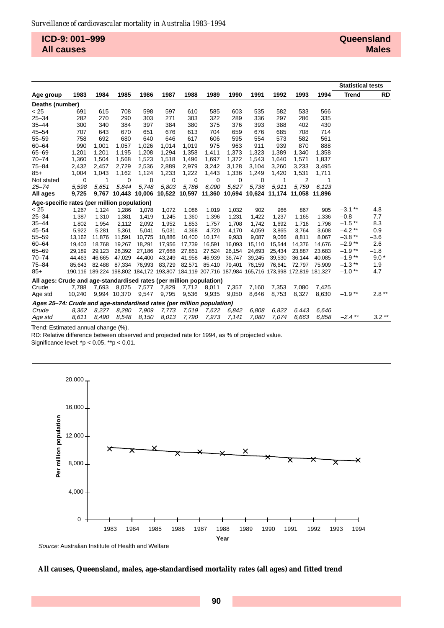**ICD-9: 001–999 All causes**

|                                                                       |        |        |              |                                                                                                 |        |        |        |        |        |        |        |        | <b>Statistical tests</b> |           |
|-----------------------------------------------------------------------|--------|--------|--------------|-------------------------------------------------------------------------------------------------|--------|--------|--------|--------|--------|--------|--------|--------|--------------------------|-----------|
| Age group                                                             | 1983   | 1984   | 1985         | 1986                                                                                            | 1987   | 1988   | 1989   | 1990   | 1991   | 1992   | 1993   | 1994   | <b>Trend</b>             | <b>RD</b> |
| Deaths (number)                                                       |        |        |              |                                                                                                 |        |        |        |        |        |        |        |        |                          |           |
| < 25                                                                  | 691    | 615    | 708          | 598                                                                                             | 597    | 610    | 585    | 603    | 535    | 582    | 533    | 566    |                          |           |
| $25 - 34$                                                             | 282    | 270    | 290          | 303                                                                                             | 271    | 303    | 322    | 289    | 336    | 297    | 286    | 335    |                          |           |
| $35 - 44$                                                             | 300    | 340    | 384          | 397                                                                                             | 384    | 380    | 375    | 376    | 393    | 388    | 402    | 430    |                          |           |
| $45 - 54$                                                             | 707    | 643    | 670          | 651                                                                                             | 676    | 613    | 704    | 659    | 676    | 685    | 708    | 714    |                          |           |
| $55 - 59$                                                             | 758    | 692    | 680          | 640                                                                                             | 646    | 617    | 606    | 595    | 554    | 573    | 582    | 561    |                          |           |
| $60 - 64$                                                             | 990    | 1,001  | 1,057        | 1,026                                                                                           | 1,014  | 1,019  | 975    | 963    | 911    | 939    | 870    | 888    |                          |           |
| $65 - 69$                                                             | 1,201  | 1,201  | 1,195        | 1,208                                                                                           | 1,294  | 1,358  | 1,411  | 1,373  | 1,323  | 1,389  | 1,340  | 1,358  |                          |           |
| $70 - 74$                                                             | 1,360  | 1,504  | 1,568        | 1,523                                                                                           | 1,518  | 1,496  | 1,697  | 1,372  | 1,543  | 1,640  | 1,571  | 1,837  |                          |           |
| $75 - 84$                                                             | 2,432  | 2,457  | 2,729        | 2,536                                                                                           | 2,889  | 2,979  | 3,242  | 3,128  | 3,104  | 3,260  | 3,233  | 3,495  |                          |           |
| $85+$                                                                 | 1,004  | 1,043  | 1,162        | 1,124                                                                                           | 1,233  | 1,222  | 1,443  | 1,336  | 1,249  | 1,420  | 1,531  | 1,711  |                          |           |
| Not stated                                                            | 0      | -1     | 0            | 0                                                                                               | 0      | 0      | 0      | 0      | 0      | 1      | 2      | 1      |                          |           |
| $25 - 74$                                                             | 5,598  | 5.651  | 5.844        | 5.748                                                                                           | 5,803  | 5,786  | 6.090  | 5,627  | 5.736  | 5.911  | 5.759  | 6.123  |                          |           |
| All ages                                                              | 9,725  | 9,767  |              | 10,443 10,006 10,522 10,597 11,360 10,694 10,624 11,174 11,058 11,896                           |        |        |        |        |        |        |        |        |                          |           |
| Age-specific rates (per million population)                           |        |        |              |                                                                                                 |        |        |        |        |        |        |        |        |                          |           |
| < 25                                                                  | 1,267  | 1,124  | 1,286        | 1,078                                                                                           | 1,072  | 1,086  | 1,019  | 1,032  | 902    | 966    | 867    | 905    | $-3.1***$                | 4.8       |
| $25 - 34$                                                             | 1,387  | 1,310  | 1,381        | 1,419                                                                                           | 1,245  | 1,360  | 1,396  | 1,231  | 1,422  | 1,237  | 1,165  | 1,336  | $-0.8$                   | 7.7       |
| $35 - 44$                                                             | 1,802  | 1,954  | 2,112        | 2,092                                                                                           | 1,952  | 1,853  | 1,757  | 1,708  | 1,742  | 1,692  | 1,716  | 1,796  | $-1.5$ **                | 8.3       |
| $45 - 54$                                                             | 5,922  | 5,281  | 5,361        | 5,041                                                                                           | 5.031  | 4.368  | 4.720  | 4.170  | 4,059  | 3.865  | 3.764  | 3.608  | $-4.2**$                 | 0.9       |
| $55 - 59$                                                             | 13,162 | 11,876 | 11,591       | 10,775                                                                                          | 10,886 | 10,400 | 10,174 | 9,933  | 9,087  | 9,066  | 8,811  | 8,067  | $-3.8**$                 | $-3.6$    |
| $60 - 64$                                                             | 19,403 | 18,768 | 19,267       | 18,291                                                                                          | 17,956 | 17,739 | 16,591 | 16,093 | 15,110 | 15,544 | 14,376 | 14,676 | $-2.9**$                 | 2.6       |
| $65 - 69$                                                             | 29,189 | 29,123 | 28,392       | 27,186                                                                                          | 27,668 | 27,851 | 27,524 | 26,154 | 24,693 | 25,434 | 23,887 | 23,683 | $-1.9**$                 | $-1.8$    |
| $70 - 74$                                                             | 44,463 | 46,665 | 47,029       | 44,400                                                                                          | 43,249 | 41,958 | 46,939 | 36,747 | 39,245 | 39,530 | 36.144 | 40,085 | $-1.9**$                 | $9.0*$    |
| $75 - 84$                                                             | 85.643 | 82.488 | 87.334       | 76,993                                                                                          | 83,729 | 82,571 | 85,410 | 79,401 | 76,159 | 76,641 | 72.797 | 75,909 | $-1.3$ **                | 1.9       |
| $85+$                                                                 |        |        |              | 190,116 189,224 198,802 184,172 193,807 184,119 207,716 187,984 165,716 173,998 172,819 181,327 |        |        |        |        |        |        |        |        | $-1.0**$                 | 4.7       |
| All ages: Crude and age-standardised rates (per million population)   |        |        |              |                                                                                                 |        |        |        |        |        |        |        |        |                          |           |
| Crude                                                                 | 7.788  | 7.693  | 8.075        | 7,577                                                                                           | 7,829  | 7,712  | 8,011  | 7,357  | 7,160  | 7,353  | 7.080  | 7,425  |                          |           |
| Age std                                                               | 10.240 |        | 9,994 10,370 | 9,547                                                                                           | 9,795  | 9,536  | 9,935  | 9,050  | 8.646  | 8,753  | 8,327  | 8,630  | $-1.9**$                 | $2.8**$   |
| Ages 25–74: Crude and age-standardised rates (per million population) |        |        |              |                                                                                                 |        |        |        |        |        |        |        |        |                          |           |
| Crude                                                                 | 8.362  | 8.227  | 8.280        | 7.909                                                                                           | 7.773  | 7,519  | 7,622  | 6.842  | 6.808  | 6.822  | 6.443  | 6.646  |                          |           |
| Age std                                                               | 8.611  | 8.490  | 8,548        | 8.150                                                                                           | 8.013  | 7,790  | 7,973  | 7,141  | 7,080  | 7.074  | 6.663  | 6.858  | $-2.4$ **                | $3.2**$   |

Trend: Estimated annual change (%).

RD: Relative difference between observed and projected rate for 1994, as % of projected value.

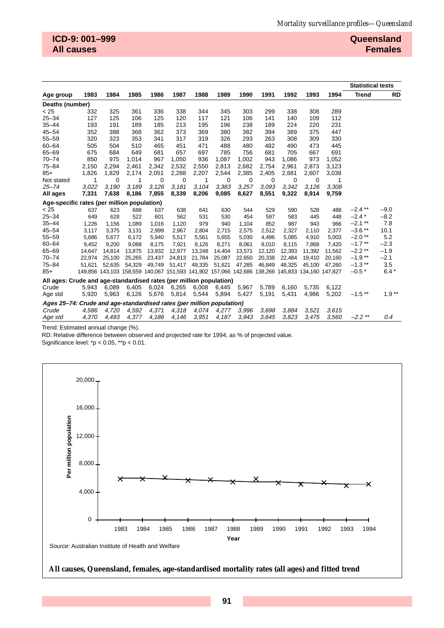|                                                                       |        |          |        |                                                                                         |          |        |        |        |          |          |          |         | <b>Statistical tests</b> |           |
|-----------------------------------------------------------------------|--------|----------|--------|-----------------------------------------------------------------------------------------|----------|--------|--------|--------|----------|----------|----------|---------|--------------------------|-----------|
| Age group                                                             | 1983   | 1984     | 1985   | 1986                                                                                    | 1987     | 1988   | 1989   | 1990   | 1991     | 1992     | 1993     | 1994    | <b>Trend</b>             | <b>RD</b> |
| Deaths (number)                                                       |        |          |        |                                                                                         |          |        |        |        |          |          |          |         |                          |           |
| < 25                                                                  | 332    | 325      | 361    | 336                                                                                     | 338      | 344    | 345    | 303    | 299      | 338      | 308      | 289     |                          |           |
| $25 - 34$                                                             | 127    | 125      | 106    | 125                                                                                     | 120      | 117    | 121    | 106    | 141      | 140      | 109      | 112     |                          |           |
| $35 - 44$                                                             | 193    | 191      | 189    | 185                                                                                     | 213      | 195    | 196    | 238    | 189      | 224      | 220      | 231     |                          |           |
| $45 - 54$                                                             | 352    | 388      | 368    | 362                                                                                     | 373      | 369    | 380    | 382    | 394      | 389      | 375      | 447     |                          |           |
| $55 - 59$                                                             | 320    | 323      | 353    | 341                                                                                     | 317      | 319    | 326    | 293    | 263      | 308      | 309      | 330     |                          |           |
| $60 - 64$                                                             | 505    | 504      | 510    | 465                                                                                     | 451      | 471    | 488    | 480    | 482      | 490      | 473      | 445     |                          |           |
| 65-69                                                                 | 675    | 684      | 649    | 681                                                                                     | 657      | 697    | 785    | 756    | 681      | 705      | 667      | 691     |                          |           |
| $70 - 74$                                                             | 850    | 975      | 1,014  | 967                                                                                     | 1.050    | 936    | 1,087  | 1.002  | 943      | 1,086    | 973      | 1,052   |                          |           |
| $75 - 84$                                                             | 2,150  | 2,294    | 2,461  | 2,342                                                                                   | 2,532    | 2,550  | 2,813  | 2,682  | 2,754    | 2,961    | 2,873    | 3,123   |                          |           |
| $85+$                                                                 | 1,826  | 1,829    | 2,174  | 2,051                                                                                   | 2,288    | 2,207  | 2,544  | 2,385  | 2,405    | 2,681    | 2,607    | 3,038   |                          |           |
| Not stated                                                            | 1      | $\Omega$ | 1      | 0                                                                                       | $\Omega$ | 1      | 0      | 0      | $\Omega$ | $\Omega$ | $\Omega$ | 1       |                          |           |
| $25 - 74$                                                             | 3,022  | 3,190    | 3,189  | 3,126                                                                                   | 3.181    | 3,104  | 3,383  | 3,257  | 3.093    | 3,342    | 3,126    | 3,308   |                          |           |
| All ages                                                              | 7,331  | 7,638    | 8,186  | 7,855                                                                                   | 8,339    | 8,206  | 9,085  | 8,627  | 8,551    | 9,322    | 8,914    | 9,759   |                          |           |
| Age-specific rates (per million population)                           |        |          |        |                                                                                         |          |        |        |        |          |          |          |         |                          |           |
| < 25                                                                  | 637    | 623      | 688    | 637                                                                                     | 638      | 641    | 630    | 544    | 529      | 590      | 528      | 488     | $-2.4$ **                | $-9.0$    |
| $25 - 34$                                                             | 649    | 628      | 522    | 601                                                                                     | 562      | 531    | 530    | 454    | 597      | 583      | 445      | 448     | $-2.4*$                  | $-8.2$    |
| $35 - 44$                                                             | 1,226  | 1,156    | 1,089  | 1,016                                                                                   | 1,120    | 979    | 940    | 1,104  | 852      | 987      | 943      | 966     | $-2.1$ **                | 7.8       |
| $45 - 54$                                                             | 3,117  | 3,375    | 3,131  | 2,999                                                                                   | 2,967    | 2,804  | 2,715  | 2,575  | 2,512    | 2,327    | 2,110    | 2,377   | $-3.6$ **                | 10.1      |
| $55 - 59$                                                             | 5,686  | 5,677    | 6,172  | 5,940                                                                                   | 5,517    | 5,561  | 5,655  | 5,030  | 4,496    | 5,085    | 4,910    | 5,003   | $-2.0**$                 | 5.2       |
| $60 - 64$                                                             | 9,452  | 9,200    | 9,088  | 8,175                                                                                   | 7,921    | 8,126  | 8,271  | 8,061  | 8,010    | 8,115    | 7,868    | 7,420   | $-1.7$ **                | $-2.3$    |
| $65 - 69$                                                             | 14,647 | 14.814   | 13,875 | 13,932                                                                                  | 12,977   | 13,248 | 14,404 | 13,571 | 12,120   | 12,393   | 11.392   | 11,562  | $-2.2$ **                | $-1.9$    |
| $70 - 74$                                                             | 22,974 | 25,100   | 25,265 | 23,437                                                                                  | 24,813   | 21,784 | 25,087 | 22,650 | 20,338   | 22,484   | 19,410   | 20,160  | $-1.9**$                 | $-2.1$    |
| $75 - 84$                                                             | 51,621 | 52.635   | 54,329 | 49,749                                                                                  | 51,417   | 49,335 | 51,621 | 47,285 | 46,849   | 48,325   | 45.100   | 47,260  | $-1.3$ **                | 3.5       |
| $85+$                                                                 |        |          |        | 149,856 143,103 158,559 140,067 151,593 141,902 157,066 142,686 138,266 145,833 134,160 |          |        |        |        |          |          |          | 147.827 | $-0.5*$                  | $6.4*$    |
| All ages: Crude and age-standardised rates (per million population)   |        |          |        |                                                                                         |          |        |        |        |          |          |          |         |                          |           |
| Crude                                                                 | 5,943  | 6,089    | 6,405  | 6,024                                                                                   | 6,265    | 6,008  | 6,445  | 5,967  | 5,789    | 6,160    | 5,735    | 6,122   |                          |           |
| Age std                                                               | 5,920  | 5,963    | 6,126  | 5,676                                                                                   | 5,814    | 5,544  | 5,894  | 5,427  | 5,191    | 5,431    | 4,986    | 5,202   | $-1.5$ **                | $1.9**$   |
| Ages 25–74: Crude and age-standardised rates (per million population) |        |          |        |                                                                                         |          |        |        |        |          |          |          |         |                          |           |
| Crude                                                                 | 4,586  | 4,720    | 4,592  | 4,371                                                                                   | 4,318    | 4,074  | 4,277  | 3,996  | 3,698    | 3,884    | 3,521    | 3.615   |                          |           |
| Age std                                                               | 4,370  | 4,493    | 4,377  | 4,186                                                                                   | 4,146    | 3.951  | 4,187  | 3.943  | 3.645    | 3,823    | 3.475    | 3.560   | $-2.2$ **                | 0.4       |

Trend: Estimated annual change (%).

RD: Relative difference between observed and projected rate for 1994, as % of projected value.

Significance level: \*p < 0.05, \*\*p < 0.01.



**All causes, Queensland, females, age-standardised mortality rates (all ages) and fitted trend**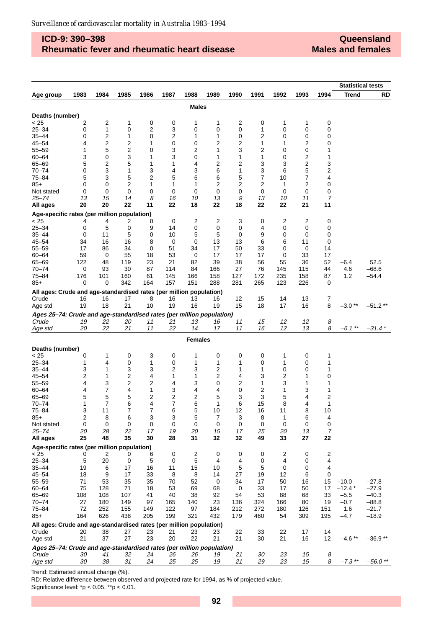### **ICD-9: 390–398 Rheumatic fever and rheumatic heart disease**

**Queensland Males and females**

|                                                                                |             |                     |            |            |           |                |            |           |           |           |            |            | <b>Statistical tests</b> |                    |
|--------------------------------------------------------------------------------|-------------|---------------------|------------|------------|-----------|----------------|------------|-----------|-----------|-----------|------------|------------|--------------------------|--------------------|
| Age group                                                                      | 1983        | 1984                | 1985       | 1986       | 1987      | 1988           | 1989       | 1990      | 1991      | 1992      | 1993       | 1994       | Trend                    | RD                 |
|                                                                                |             |                     |            |            |           | <b>Males</b>   |            |           |           |           |            |            |                          |                    |
| Deaths (number)                                                                |             |                     |            |            |           |                |            |           |           |           |            |            |                          |                    |
| < 25                                                                           | 2           | 2                   | 1          | 0          | 0         | 1              | 1          | 2         | 0         | 1         | 1          | 0          |                          |                    |
| $25 - 34$                                                                      | 0           | $\mathbf{1}$        | 0          | 2          | 3         | 0              | 0          | 0         | 1         | 0         | 0          | 0          |                          |                    |
| $35 - 44$                                                                      | 0           | 2                   | 1          | 0          | 2         | 1              | 1          | 0         | 2         | 0         | 0          | 0          |                          |                    |
| $45 - 54$                                                                      | 4           | 2                   | 2          | 1          | 0         | 0              | 2          | 2         | 1         | 1         | 2          | 0          |                          |                    |
| $55 - 59$                                                                      | 1           | 5                   | 2          | 0          | 3         | 2              | 1          | 3         | 2         | 0         | 0          | 1          |                          |                    |
| $60 - 64$                                                                      | 3           | 0                   | 3          | 1          | 3         | 0              | 1          | 1         | 1         | 0         | 2          | 1          |                          |                    |
| 65-69                                                                          | 5           | $\overline{c}$      | 5          | 1          | 1         | 4              | 2          | 2         | 3         | 3         | 2          | 3          |                          |                    |
| $70 - 74$                                                                      | 0           | 3                   | 1          | 3          | 4         | 3              | 6          | 1         | 3         | 6         | 5          | 2          |                          |                    |
| $75 - 84$                                                                      | 5           | 3                   | 5          | 2          | 5         | 6              | 6          | 5         | 7         | 10        | 7          | 4          |                          |                    |
| $85+$                                                                          | 0<br>0      | 0<br>0              | 2<br>0     | 1<br>0     | 1<br>0    | 1<br>0         | 2<br>0     | 2<br>0    | 2<br>0    | 1<br>0    | 2<br>0     | 0<br>0     |                          |                    |
| Not stated<br>$25 - 74$                                                        | 13          | 15                  | 14         | 8          | 16        | 10             | 13         | 9         | 13        | 10        | 11         | 7          |                          |                    |
| All ages                                                                       | 20          | 20                  | 22         | 11         | 22        | 18             | 22         | 18        | 22        | 22        | 21         | 11         |                          |                    |
| Age-specific rates (per million population)                                    |             |                     |            |            |           |                |            |           |           |           |            |            |                          |                    |
| < 25                                                                           | 4           | 4                   | 2          | 0          | 0         | 2              | 2          | 3         | 0         | 2         | 2          | 0          |                          |                    |
| $25 - 34$                                                                      | 0           | 5                   | 0          | 9          | 14        | 0              | 0          | 0         | 4         | 0         | 0          | 0          |                          |                    |
| $35 - 44$                                                                      | $\mathbf 0$ | 11                  | 5          | 0          | 10        | 5              | 5          | 0         | 9         | 0         | 0          | 0          |                          |                    |
| $45 - 54$                                                                      | 34          | 16                  | 16         | 8          | 0         | 0              | 13         | 13        | 6         | 6         | 11         | 0          |                          |                    |
| $55 - 59$                                                                      | 17          | 86                  | 34         | 0          | 51        | 34             | 17         | 50        | 33        | 0         | 0          | 14         |                          |                    |
| $60 - 64$                                                                      | 59          | 0                   | 55         | 18         | 53        | 0              | 17         | 17        | 17        | 0         | 33         | 17         |                          |                    |
| 65-69                                                                          | 122         | 48                  | 119        | 23         | 21        | 82             | 39         | 38        | 56        | 55        | 36         | 52         | -6.4                     | 52.5               |
| $70 - 74$                                                                      | 0           | 93                  | 30         | 87         | 114       | 84             | 166        | 27        | 76        | 145       | 115        | 44         | 4.6                      | $-68.6$            |
| 75-84                                                                          | 176         | 101                 | 160        | 61         | 145       | 166            | 158        | 127       | 172       | 235       | 158        | 87         | 1.2                      | $-54.4$            |
| $85+$                                                                          | 0           | 0                   | 342        | 164        | 157       | 151            | 288        | 281       | 265       | 123       | 226        | 0          |                          |                    |
| All ages: Crude and age-standardised rates (per million population)            |             |                     |            |            |           |                |            |           |           |           |            |            |                          |                    |
| Crude                                                                          | 16          | 16                  | 17         | 8          | 16        | 13             | 16         | 12        | 15        | 14        | 13         | 7          |                          |                    |
| Age std                                                                        | 19          | 18                  | 21         | 10         | 19        | 16             | 19         | 15        | 18        | 17        | 16         | 8          | $-3.0**$                 | $-51.2**$          |
| Ages 25-74: Crude and age-standardised rates (per million population)          |             |                     |            |            |           |                |            |           |           |           |            |            |                          |                    |
| Crude                                                                          | 19          | 22                  | 20         | 11         | 21        | 13             | 16         | 11        | 15        | 12        | 12         | 8          |                          |                    |
| Age std                                                                        | 20          | 22                  | 21         | 11         | 22        | 14             | 17         | 11        | 16        | 12        | 13         | 8          | $-6.1$ **                | -31.4 *            |
|                                                                                |             |                     |            |            |           | <b>Females</b> |            |           |           |           |            |            |                          |                    |
| Deaths (number)                                                                |             |                     |            |            |           |                |            |           |           |           |            |            |                          |                    |
| < 25                                                                           | 0           | 1                   | 0          | 3          | 0         | 1              | 0          | 0         | 0         | 1         | 0          | 1          |                          |                    |
| $25 - 34$                                                                      | 1           | 4                   | 0          | 1          | 0         | 1              | 1          | 1         | 0         | 1         | 0          | 1          |                          |                    |
| $35 - 44$                                                                      | 3           | 1                   | 3          | 3          | 2         | 3              | 2          | 1         | 1         | 0         | 0          | 1          |                          |                    |
| $45 - 54$                                                                      | 2           | 1                   | 2          | 4          | 1         | 1              | 2          | 4         | 3         | 2         | 1          | 0          |                          |                    |
| $55 - 59$                                                                      | 4           | 3                   | 2          | 2          | 4         | 3              | 0          | 2         | 1         | 3         | 1          | 1          |                          |                    |
| $60 - 64$                                                                      | 4           | 7                   | 4          | 1<br>2     | 3         | 4              | 4          | 0         | 2         | 1         | 3<br>4     | 1          |                          |                    |
| $65 - 69$<br>$70 - 74$                                                         | 5<br>1      | 5<br>$\overline{7}$ | 5<br>6     | 4          | 2<br>7    | 2<br>6         | 5<br>1     | 3<br>6    | 3<br>15   | 5<br>8    | 4          | 2<br>1     |                          |                    |
| 75-84                                                                          | 3           | 11                  | 7          | 7          | 6         | 5              | 10         | 12        | 16        | 11        | 8          | 10         |                          |                    |
| $85+$                                                                          | 2           | 8                   | 6          | 3          | 3         | 5              | 7          | 3         | 8         | 1         | 6          | 4          |                          |                    |
| Not stated                                                                     | 0           | 0                   | 0          | 0          | 0         | 0              | 0          | 0         | 0         | 0         | 0          | 0          |                          |                    |
| $25 - 74$                                                                      | 20          | 28                  | 22         | 17         | 19        | 20             | 15         | 17        | 25        | 20        | 13         | 7          |                          |                    |
| All ages                                                                       | 25          | 48                  | 35         | 30         | 28        | 31             | 32         | 32        | 49        | 33        | 27         | 22         |                          |                    |
| Age-specific rates (per million population)                                    |             |                     |            |            |           |                |            |           |           |           |            |            |                          |                    |
| < 25                                                                           | 0           | 2                   | 0          | 6          | 0         | 2              | 0          | 0         | 0         | 2         | 0          | 2          |                          |                    |
| $25 - 34$                                                                      | 5           | 20                  | 0          | 5          | 0         | 5              | 4          | 4         | 0         | 4         | 0          | 4          |                          |                    |
| $35 - 44$                                                                      | 19          | 6                   | 17         | 16         | 11        | 15             | 10         | 5         | 5         | 0         | 0          | 4          |                          |                    |
| $45 - 54$                                                                      | 18          | 9                   | 17         | 33         | 8         | 8              | 14         | 27        | 19        | 12        | 6          | 0          |                          |                    |
| $55 - 59$                                                                      | 71          | 53                  | 35         | 35         | 70        | 52             | 0          | 34        | 17        | 50        | 16         | 15         | $-10.0$                  | $-27.8$            |
| $60 - 64$                                                                      | 75          | 128                 | 71         | 18         | 53        | 69             | 68         | 0         | 33        | 17        | 50         | 17         | $-12.4*$                 | $-27.9$            |
| $65 - 69$<br>$70 - 74$                                                         | 108<br>27   | 108<br>180          | 107<br>149 | 41<br>97   | 40<br>165 | 38<br>140      | 92<br>23   | 54<br>136 | 53<br>324 | 88<br>166 | 68<br>80   | 33<br>19   | $-5.5$<br>$-0.7$         | $-40.3$<br>$-88.8$ |
| $75 - 84$                                                                      | 72          | 252                 |            |            | 122       | 97             |            | 212       | 272       |           |            |            |                          | $-21.7$            |
| $85+$                                                                          | 164         | 626                 | 155<br>438 | 149<br>205 | 199       | 321            | 184<br>432 | 179       | 460       | 180<br>54 | 126<br>309 | 151<br>195 | 1.6<br>$-4.7$            | $-18.9$            |
|                                                                                |             |                     |            |            |           |                |            |           |           |           |            |            |                          |                    |
| All ages: Crude and age-standardised rates (per million population)<br>Crude   | 20          | 38                  | 27         | 23         | 21        | 23             | 23         | 22        | 33        | 22        | 17         | 14         |                          |                    |
| Age std                                                                        | 21          | 37                  | 27         | 23         | 20        | 22             | 21         | 21        | 30        | 21        | 16         | 12         | $-4.6**$                 | $-36.9**$          |
|                                                                                |             |                     |            |            |           |                |            |           |           |           |            |            |                          |                    |
| Ages 25-74: Crude and age-standardised rates (per million population)<br>Crude | 30          | 41                  | 32         | 24         | 26        | 26             | 19         | 21        | 30        | 23        | 15         | 8          |                          |                    |
| Age std                                                                        | 30          | 38                  | 31         | 24         | 25        | 25             | 19         | 21        | 29        | 23        | 15         | 8          | $-7.3$ **                | $-56.0$ **         |
|                                                                                |             |                     |            |            |           |                |            |           |           |           |            |            |                          |                    |

Trend: Estimated annual change (%).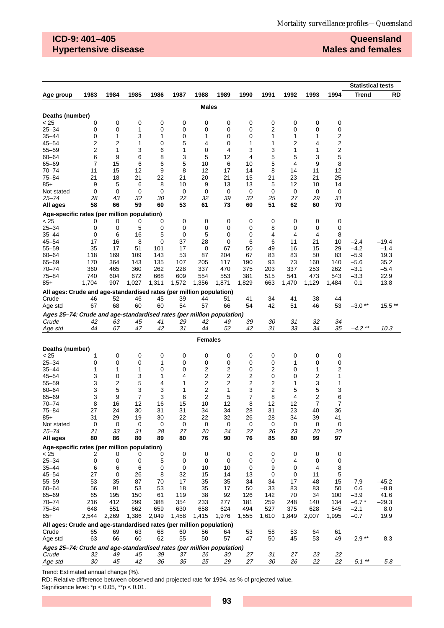## **ICD-9: 401–405 Hypertensive disease**

## **Queensland Males and females**

|                                                                       |                         |          |          |          |          |                |          |          |          |          |          |          | <b>Statistical tests</b> |                   |
|-----------------------------------------------------------------------|-------------------------|----------|----------|----------|----------|----------------|----------|----------|----------|----------|----------|----------|--------------------------|-------------------|
| Age group                                                             | 1983                    | 1984     | 1985     | 1986     | 1987     | 1988           | 1989     | 1990     | 1991     | 1992     | 1993     | 1994     | <b>Trend</b>             | <b>RD</b>         |
|                                                                       |                         |          |          |          |          | <b>Males</b>   |          |          |          |          |          |          |                          |                   |
| Deaths (number)                                                       |                         |          |          |          |          |                |          |          |          |          |          |          |                          |                   |
| < 25                                                                  | 0                       | 0        | 0        | 0        | 0        | 0              | 0        | 0        | 0        | 0        | 0        | 0        |                          |                   |
| $25 - 34$                                                             | 0                       | 0        | 1        | 0        | 0        | 0              | 0        | 0        | 2        | 0        | 0        | 0        |                          |                   |
| $35 - 44$                                                             | 0                       | 1        | 3        | 1        | 0        | 1              | 0        | 0        | 1        | 1        | 1        | 2        |                          |                   |
| $45 - 54$                                                             | 2                       | 2        | 1        | 0        | 5        | 4              | 0        | 1        | 1        | 2        | 4        | 2        |                          |                   |
| $55 - 59$                                                             | $\overline{\mathbf{c}}$ | 1        | 3        | 6        | 1        | 0              | 4        | 3        | 3        | 1        | 1        | 2        |                          |                   |
| $60 - 64$                                                             | 6                       | 9        | 6        | 8        | 3        | 5              | 12       | 4        | 5        | 5        | 3        | 5        |                          |                   |
| 65-69                                                                 | 7                       | 15       | 6        | 6        | 5        | 10             | 6        | 10       | 5        | 4        | 9        | 8        |                          |                   |
| $70 - 74$                                                             | 11                      | 15       | 12       | 9        | 8        | 12             | 17       | 14       | 8        | 14       | 11       | 12       |                          |                   |
| $75 - 84$                                                             | 21                      | 18       | 21       | 22       | 21       | 20             | 21       | 15       | 21       | 23       | 21       | 25       |                          |                   |
| $85+$                                                                 | 9                       | 5        | 6        | 8        | 10       | 9              | 13       | 13       | 5        | 12       | 10       | 14       |                          |                   |
| Not stated<br>25–74                                                   | 0<br>28                 | 0<br>43  | 0<br>32  | 0<br>30  | 0<br>22  | 0<br>32        | 0<br>39  | 0<br>32  | 0<br>25  | 0<br>27  | 0<br>29  | 0<br>31  |                          |                   |
| All ages                                                              | 58                      | 66       | 59       | 60       | 53       | 61             | 73       | 60       | 51       | 62       | 60       | 70       |                          |                   |
|                                                                       |                         |          |          |          |          |                |          |          |          |          |          |          |                          |                   |
| Age-specific rates (per million population)<br>< 25                   | 0                       | 0        | 0        | 0        | 0        | 0              | 0        | 0        | 0        | 0        | 0        | 0        |                          |                   |
| $25 - 34$                                                             | 0                       | 0        | 5        | 0        | 0        | 0              | 0        | 0        | 8        | 0        | 0        | 0        |                          |                   |
| $35 - 44$                                                             | 0                       | 6        | 16       | 5        | 0        | 5              | 0        | 0        | 4        | 4        | 4        | 8        |                          |                   |
| $45 - 54$                                                             | 17                      | 16       | 8        | 0        | 37       | 28             | 0        | 6        | 6        | 11       | 21       | 10       | $-2.4$                   | $-19.4$           |
| $55 - 59$                                                             | 35                      | 17       | 51       | 101      | 17       | 0              | 67       | 50       | 49       | 16       | 15       | 29       | $-4.2$                   | $-1.4$            |
| $60 - 64$                                                             | 118                     | 169      | 109      | 143      | 53       | 87             | 204      | 67       | 83       | 83       | 50       | 83       | $-5.9$                   | 19.3              |
| $65 - 69$                                                             | 170                     | 364      | 143      | 135      | 107      | 205            | 117      | 190      | 93       | 73       | 160      | 140      | $-5.6$                   | 35.2              |
| $70 - 74$                                                             | 360                     | 465      | 360      | 262      | 228      | 337            | 470      | 375      | 203      | 337      | 253      | 262      | $-3.1$                   | $-5.4$            |
| 75-84                                                                 | 740                     | 604      | 672      | 668      | 609      | 554            | 553      | 381      | 515      | 541      | 473      | 543      | $-3.3$                   | 22.9              |
| $85+$                                                                 | 1,704                   | 907      | 1,027    | 1,311    | 1,572    | 1,356          | 1,871    | 1,829    | 663      | 1,470    | 1,129    | 1,484    | 0.1                      | 13.8              |
| All ages: Crude and age-standardised rates (per million population)   |                         |          |          |          |          |                |          |          |          |          |          |          |                          |                   |
| Crude                                                                 | 46                      | 52       | 46       | 45       | 39       | 44             | 51       | 41       | 34       | 41       | 38       | 44       |                          |                   |
| Age std                                                               | 67                      | 68       | 60       | 60       | 54       | 57             | 66       | 54       | 42       | 51       | 46       | 53       | $-3.0**$                 | 15.5**            |
| Ages 25–74: Crude and age-standardised rates (per million population) |                         |          |          |          |          |                |          |          |          |          |          |          |                          |                   |
| Crude                                                                 | 42                      | 63       | 45       | 41       | 29       | 42             | 49       | 39       | 30       | 31       | 32       | 34       |                          |                   |
| Age std                                                               | 44                      | 67       | 47       | 42       | 31       | 44             | 52       | 42       | 31       | 33       | 34       | 35       | $-4.2$ **                | 10.3              |
|                                                                       |                         |          |          |          |          | <b>Females</b> |          |          |          |          |          |          |                          |                   |
| Deaths (number)                                                       |                         |          |          |          |          |                |          |          |          |          |          |          |                          |                   |
| < 25                                                                  | 1                       | 0        | 0        | 0        | 0        | 0              | 0        | 0        | 0        | 0        | 0        | 0        |                          |                   |
| $25 - 34$                                                             | 0                       | 0        | 0        | 1        | 0        | 0              | 0        | 0        | 0        | 1        | 0        | 0        |                          |                   |
| $35 - 44$                                                             | 1                       | 1        | 1        | 0        | 0        | 2              | 2        | 0        | 2        | 0        | 1        | 2        |                          |                   |
| $45 - 54$                                                             | 3                       | 0        | 3        | 1        | 4        | 2              | 2        | 2        | 0        | 0        | 2        | 1        |                          |                   |
| $55 - 59$                                                             | 3                       | 2        | 5        | 4        | 1        | 2              | 2        | 2        | 2        | 1        | 3        | 1        |                          |                   |
| $60 - 64$<br>65-69                                                    | 3<br>3                  | 5<br>9   | 3<br>7   | 3<br>3   | 1<br>6   | 2<br>2         | 1<br>5   | 3<br>7   | 2<br>8   | 5<br>4   | 5<br>2   | 3<br>6   |                          |                   |
| $70 - 74$                                                             | 8                       | 16       | 12       | 16       | 15       | 10             | 12       | 8        | 12       | 12       | 7        | 7        |                          |                   |
| $75 - 84$                                                             | 27                      | 24       | 30       | 31       | 31       | 34             | 34       | 28       | 31       | 23       | 40       | 36       |                          |                   |
| $85+$                                                                 | 31                      | 29       | 19       | 30       | 22       | 22             | 32       | 26       | 28       | 34       | 39       | 41       |                          |                   |
| Not stated                                                            | 0                       | 0        | 0        | 0        | 0        | 0              | 0        | 0        | 0        | 0        | 0        | 0        |                          |                   |
| $25 - 74$                                                             | 21                      | 33       | 31       | 28       | 27       | 20             | 24       | 22       | 26       | 23       | 20       | 20       |                          |                   |
| All ages                                                              | 80                      | 86       | 80       | 89       | 80       | 76             | 90       | 76       | 85       | 80       | 99       | 97       |                          |                   |
| Age-specific rates (per million population)                           |                         |          |          |          |          |                |          |          |          |          |          |          |                          |                   |
| < 25                                                                  | 2                       | 0        | 0        | 0        | 0        | 0              | 0        | 0        | 0        | 0        | 0        | 0        |                          |                   |
| $25 - 34$                                                             | 0                       | 0        | 0        | 5        | 0        | 0              | 0        | 0        | 0        | 4        | 0        | 0        |                          |                   |
| $35 - 44$                                                             | 6                       | 6        | 6        | 0        | 0        | 10             | 10       | 0        | 9        | 0        | 4        | 8        |                          |                   |
| $45 - 54$<br>$55 - 59$                                                | 27                      | 0        | 26       | 8        | 32       | 15             | 14       | 13       | 0        | 0        | 11       | 5        |                          |                   |
| $60 - 64$                                                             | 53<br>56                | 35<br>91 | 87<br>53 | 70<br>53 | 17<br>18 | 35<br>35       | 35<br>17 | 34<br>50 | 34<br>33 | 17<br>83 | 48<br>83 | 15<br>50 | $-7.9$<br>0.6            | $-45.2$<br>$-8.8$ |
| 65-69                                                                 | 65                      | 195      | 150      | 61       | 119      | 38             | 92       | 126      | 142      | 70       | 34       | 100      | $-3.9$                   | 41.6              |
| $70 - 74$                                                             | 216                     | 412      | 299      | 388      | 354      | 233            | 277      | 181      | 259      | 248      | 140      | 134      | $-6.7*$                  | $-29.3$           |
| $75 - 84$                                                             | 648                     | 551      | 662      | 659      | 630      | 658            | 624      | 494      | 527      | 375      | 628      | 545      | $-2.1$                   | 8.0               |
| $85+$                                                                 | 2,544                   | 2,269    | 1,386    | 2,049    | 1,458    | 1,415          | 1,976    | 1,555    | 1,610    | 1,849    | 2,007    | 1,995    | $-0.7$                   | 19.9              |
| All ages: Crude and age-standardised rates (per million population)   |                         |          |          |          |          |                |          |          |          |          |          |          |                          |                   |
| Crude                                                                 | 65                      | 69       | 63       | 68       | 60       | 56             | 64       | 53       | 58       | 53       | 64       | 61       |                          |                   |
| Age std                                                               | 63                      | 66       | 60       | 62       | 55       | 50             | 57       | 47       | 50       | 45       | 53       | 49       | $-2.9**$                 | 8.3               |
| Ages 25-74: Crude and age-standardised rates (per million population) |                         |          |          |          |          |                |          |          |          |          |          |          |                          |                   |
| Crude                                                                 | 32                      | 49       | 45       | 39       | 37       | 26             | 30       | 27       | 31       | 27       | 23       | 22       |                          |                   |
| Age std                                                               | 30                      | 45       | 42       | 36       | 35       | 25             | 29       | 27       | 30       | 26       | 22       | 22       | $-5.1$ **                | $-5.8$            |

Trend: Estimated annual change (%).

RD: Relative difference between observed and projected rate for 1994, as % of projected value.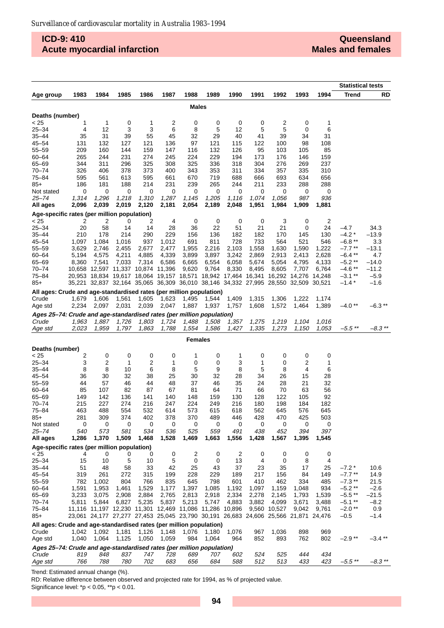## **ICD-9: 410 Acute myocardial infarction**

|                                                                                |        |       |       |                                                                                                                                                |       |                |       |       |       |              |       |        | <b>Statistical tests</b> |               |
|--------------------------------------------------------------------------------|--------|-------|-------|------------------------------------------------------------------------------------------------------------------------------------------------|-------|----------------|-------|-------|-------|--------------|-------|--------|--------------------------|---------------|
| Age group                                                                      | 1983   | 1984  | 1985  | 1986                                                                                                                                           | 1987  | 1988           | 1989  | 1990  | 1991  | 1992         | 1993  | 1994   | <b>Trend</b>             | RD            |
|                                                                                |        |       |       |                                                                                                                                                |       | Males          |       |       |       |              |       |        |                          |               |
| Deaths (number)                                                                |        |       |       |                                                                                                                                                |       |                |       |       |       |              |       |        |                          |               |
| < 25                                                                           | 1      | 1     | 0     | 1                                                                                                                                              | 2     | 0              | 0     | 0     | 0     | 2            | 0     | 1      |                          |               |
| $25 - 34$                                                                      | 4      | 12    | 3     | 3                                                                                                                                              | 6     | 8              | 5     | 12    | 5     | 5            | 0     | 6      |                          |               |
| 35–44                                                                          | 35     | 31    | 39    | 55                                                                                                                                             | 45    | 32             | 29    | 40    | 41    | 39           | 34    | 31     |                          |               |
| $45 - 54$                                                                      | 131    | 132   | 127   | 121                                                                                                                                            | 136   | 97             | 121   | 115   | 122   | 100          | 98    | 108    |                          |               |
| 55-59                                                                          | 209    | 160   | 144   | 159                                                                                                                                            | 147   | 116            | 132   | 126   | 95    | 103          | 105   | 85     |                          |               |
| 60-64                                                                          | 265    | 244   | 231   | 274                                                                                                                                            | 245   | 224            | 229   | 194   | 173   | 176          | 146   | 159    |                          |               |
| 65-69                                                                          | 344    | 311   | 296   | 325                                                                                                                                            | 308   | 325            | 336   | 318   | 304   | 276          | 269   | 237    |                          |               |
| 70-74                                                                          | 326    | 406   | 378   | 373                                                                                                                                            | 400   | 343            | 353   | 311   | 334   | 357          | 335   | 310    |                          |               |
| 75–84                                                                          | 595    | 561   | 613   | 595                                                                                                                                            | 661   | 670            | 719   | 688   | 666   | 693          | 634   | 656    |                          |               |
| 85+                                                                            | 186    | 181   | 188   | 214                                                                                                                                            | 231   | 239            | 265   | 244   | 211   | 233          | 288   | 288    |                          |               |
| Not stated                                                                     | 0      | 0     | 0     | 0                                                                                                                                              | 0     | 0              | 0     | 0     | 0     | 0            | 0     | 0      |                          |               |
| 25–74                                                                          | 1,314  | 1,296 | 1,218 | 1,310                                                                                                                                          | 1,287 | 1,145          | 1,205 | 1,116 | 1,074 | 1,056        | 987   | 936    |                          |               |
| All ages                                                                       | 2,096  | 2,039 | 2,019 | 2,120                                                                                                                                          | 2,181 | 2,054          | 2,189 | 2,048 | 1,951 | 1,984        | 1,909 | 1,881  |                          |               |
| Age-specific rates (per million population)<br>< 25                            | 2      | 2     | 0     | 2                                                                                                                                              | 4     | 0              | 0     | 0     | 0     | 3            | 0     | 2      |                          |               |
| $25 - 34$                                                                      | 20     | 58    | 14    | 14                                                                                                                                             | 28    | 36             | 22    | 51    | 21    | 21           | 0     | 24     | $-4.7$                   | 34.3          |
| $35 - 44$                                                                      | 210    | 178   | 214   | 290                                                                                                                                            | 229   | 156            | 136   | 182   | 182   | 170          | 145   | 130    | $-4.2*$                  | –13.9         |
| $45 - 54$                                                                      | 1,097  | 1,084 | 1,016 | 937                                                                                                                                            | 1,012 | 691            | 811   | 728   | 733   | 564          | 521   | 546    | $-6.8**$                 | 3.3           |
| $55 - 59$                                                                      | 3,629  | 2,746 | 2,455 | 2,677                                                                                                                                          | 2,477 | 1,955          | 2,216 | 2,103 | 1,558 | 1,630        | 1,590 | 1,222  | $-7.7**$                 | $-13.1$       |
| 60-64                                                                          | 5,194  | 4,575 | 4,211 | 4,885                                                                                                                                          | 4,339 | 3,899          | 3,897 | 3,242 | 2,869 | 2,913        | 2,413 | 2,628  | $-6.4**$                 | 4.7           |
| 65-69                                                                          | 8,360  | 7,541 | 7,033 | 7,314                                                                                                                                          | 6,586 | 6,665          | 6,554 | 6,058 | 5,674 | 5,054        | 4,795 | 4,133  | $-5.2**$                 | $-14.0$       |
| 70-74                                                                          | 10,658 |       |       | 12,597 11,337 10,874 11,396                                                                                                                    |       | 9,620          | 9,764 | 8,330 | 8,495 | 8,605        | 7,707 | 6,764  | $-4.6$ **                | –11.2         |
| 75–84                                                                          |        |       |       | 20,953 18,834 19,617 18,064 19,157 18,571 18,942 17,464 16,341 16,292 14,276 14,248                                                            |       |                |       |       |       |              |       |        | $-3.1$ **                | $-5.9$        |
| 85+                                                                            |        |       |       | 35,221 32,837 32,164 35,065 36,309 36,010 38,146 34,332 27,995 28,550 32,509                                                                   |       |                |       |       |       |              |       | 30,521 | $-1.4*$                  | $-1.6$        |
| All ages: Crude and age-standardised rates (per million population)            |        |       |       |                                                                                                                                                |       |                |       |       |       |              |       |        |                          |               |
| Crude                                                                          | 1,679  | 1,606 | 1,561 | 1,605                                                                                                                                          | 1,623 | 1,495          | 1,544 | 1,409 | 1,315 | 1,306        | 1,222 | 1,174  |                          |               |
| Age std                                                                        | 2,234  | 2,097 | 2,031 | 2,039                                                                                                                                          | 2,047 | 1,887          | 1,937 | 1,757 | 1,608 | 1,572        | 1,464 | 1,389  | $-4.0**$                 | $-6.3**$      |
|                                                                                |        |       |       |                                                                                                                                                |       |                |       |       |       |              |       |        |                          |               |
| Ages 25-74: Crude and age-standardised rates (per million population)<br>Crude | 1,963  | 1,887 | 1,726 | 1,803                                                                                                                                          | 1,724 | 1,488          | 1,508 | 1,357 | 1,275 | 1,219        | 1,104 | 1,016  |                          |               |
| Age std                                                                        | 2,023  | 1,959 | 1,797 | 1,863                                                                                                                                          | 1,788 | 1,554          | 1,586 | 1,427 | 1,335 | 1,273        | 1,150 | 1,053  | $-5.5$ **                | $-8.3$ **     |
|                                                                                |        |       |       |                                                                                                                                                |       |                |       |       |       |              |       |        |                          |               |
|                                                                                |        |       |       |                                                                                                                                                |       | <b>Females</b> |       |       |       |              |       |        |                          |               |
| Deaths (number)<br>< 25                                                        | 2      | 0     | 0     | 0                                                                                                                                              | 0     | 1              | 0     | 1     | 0     | 0            | 0     | 0      |                          |               |
| 25–34                                                                          | 3      | 2     | 1     | 2                                                                                                                                              | 1     | 0              | 0     | 3     | 1     | 0            | 2     | 1      |                          |               |
| $35 - 44$                                                                      | 8      | 8     | 10    | 6                                                                                                                                              | 8     | 5              | 9     | 8     | 5     | 8            | 4     | 6      |                          |               |
| 45–54                                                                          | 36     | 30    | 32    | 38                                                                                                                                             | 25    | 30             | 32    | 28    | 34    | 26           | 15    | 28     |                          |               |
| 55-59                                                                          | 44     | 57    | 46    | 44                                                                                                                                             | 48    | 37             | 46    | 35    | 24    | 28           | 21    | 32     |                          |               |
| $60 - 64$                                                                      | 85     | 107   | 82    | 87                                                                                                                                             | 67    | 81             | 64    | 71    | 66    | 70           | 63    | 56     |                          |               |
| 65-69                                                                          | 149    | 142   | 136   | 141                                                                                                                                            | 140   | 148            | 159   | 130   | 128   | 122          | 105   | 92     |                          |               |
| 70–74                                                                          | 215    | 227   | 274   | 216                                                                                                                                            | 247   | 224            | 249   | 216   | 180   | 198          | 184   | 182    |                          |               |
| 75–84                                                                          | 463    | 488   | 554   | 532                                                                                                                                            | 614   | 573            | 615   | 618   | 562   | 645          | 576   | 645    |                          |               |
| $85+$                                                                          | 281    | 309   | 374   | 402                                                                                                                                            | 378   | 370            | 489   | 446   | 428   | 470          | 425   | 503    |                          |               |
| Not stated                                                                     | 0      | 0     | 0     | 0                                                                                                                                              | 0     | 0              | 0     | 0     | 0     | 0            | 0     | 0      |                          |               |
| 25–74                                                                          | 540    | 573   | 581   | 534                                                                                                                                            | 536   | 525            | 559   | 491   | 438   | 452          | 394   | 397    |                          |               |
| All ages                                                                       | 1,286  | 1,370 | 1,509 | 1,468                                                                                                                                          | 1,528 | 1,469          | 1,663 | 1,556 | 1,428 | 1,567        | 1,395 | 1,545  |                          |               |
| Age-specific rates (per million population)                                    |        |       |       |                                                                                                                                                |       |                |       |       |       |              |       |        |                          |               |
| < 25                                                                           | 4      | 0     | 0     | 0                                                                                                                                              | 0     | 2              | 0     | 2     | 0     | 0            | 0     | 0      |                          |               |
| $25 - 34$                                                                      | 15     | 10    | 5     | 10                                                                                                                                             | 5     | 0              | 0     | 13    | 4     | $\mathbf 0$  | 8     | 4      |                          |               |
| $35 - 44$                                                                      | 51     | 48    | 58    | 33                                                                                                                                             | 42    | 25             | 43    | 37    | 23    | 35           | 17    | 25     | $-7.2*$                  | 10.6          |
| $45 - 54$                                                                      | 319    | 261   | 272   | 315                                                                                                                                            | 199   | 228            | 229   | 189   | 217   | 156          | 84    | 149    | $-7.7$ **                | 14.9          |
| $55 - 59$                                                                      | 782    | 1,002 | 804   | 766                                                                                                                                            | 835   | 645            | 798   | 601   | 410   | 462          | 334   | 485    | $-7.3$ **                | 21.5          |
| 60-64                                                                          | 1,591  | 1,953 | 1,461 | 1,529                                                                                                                                          | 1,177 | 1,397          | 1,085 | 1,192 | 1,097 | 1,159        | 1,048 | 934    | $-5.2**$                 | $-2.6$        |
| 65-69                                                                          | 3,233  | 3,075 | 2,908 | 2,884                                                                                                                                          | 2,765 | 2,813          | 2,918 | 2,334 | 2,278 | 2,145        | 1,793 | 1,539  | $-5.5$ **                | –21.5         |
| 70–74                                                                          | 5,811  | 5,844 | 6,827 | 5,235                                                                                                                                          | 5,837 | 5,213          | 5,747 | 4,883 | 3,882 | 4,099        | 3,671 | 3,488  | $-5.1$ **                | $-8.2$        |
| $75 - 84$<br>85+                                                               |        |       |       | 11,116 11,197 12,230 11,301 12,469 11,086 11,286 10,896<br>23,061 24,177 27,277 27,453 25,045 23,790 30,191 26,683 24,606 25,566 21,871 24,476 |       |                |       |       |       | 9,560 10,527 | 9,042 | 9,761  | $-2.0**$<br>$-0.5$       | 0.9<br>$-1.4$ |
|                                                                                |        |       |       |                                                                                                                                                |       |                |       |       |       |              |       |        |                          |               |
| All ages: Crude and age-standardised rates (per million population)            |        |       |       |                                                                                                                                                |       |                |       |       |       |              |       |        |                          |               |
| Crude                                                                          | 1,042  | 1,092 | 1,181 | 1,126                                                                                                                                          | 1,148 | 1,076          | 1,180 | 1,076 | 967   | 1,036        | 898   | 969    |                          |               |
| Age std                                                                        | 1,040  | 1,064 | 1,125 | 1,050                                                                                                                                          | 1,059 | 984            | 1,064 | 964   | 852   | 893          | 762   | 802    | $-2.9**$                 | -3.4 **       |
| Ages 25-74: Crude and age-standardised rates (per million population)          |        |       |       |                                                                                                                                                |       |                |       |       |       |              |       |        |                          |               |
| Crude                                                                          | 819    | 848   | 837   | 747                                                                                                                                            | 728   | 689            | 707   | 602   | 524   | 525          | 444   | 434    |                          |               |
| Age std                                                                        | 766    | 788   | 780   | 702                                                                                                                                            | 683   | 656            | 684   | 588   | 512   | 513          | 433   | 423    | $-5.5$ **                | $-8.3$ **     |

Trend: Estimated annual change (%).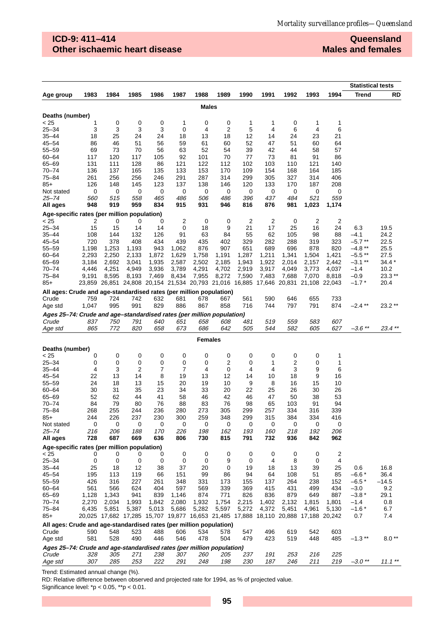## **ICD-9: 411–414 Other ischaemic heart disease**

**Queensland Males and females**

|                                                                              |            |            |            |            |                                                                       |              |            |                |            |                               |                 |                         | <b>Statistical tests</b> |                 |
|------------------------------------------------------------------------------|------------|------------|------------|------------|-----------------------------------------------------------------------|--------------|------------|----------------|------------|-------------------------------|-----------------|-------------------------|--------------------------|-----------------|
| Age group                                                                    | 1983       | 1984       | 1985       | 1986       | 1987                                                                  | 1988         | 1989       | 1990           | 1991       | 1992                          | 1993            | 1994                    | Trend                    | RD              |
|                                                                              |            |            |            |            |                                                                       | <b>Males</b> |            |                |            |                               |                 |                         |                          |                 |
|                                                                              |            |            |            |            |                                                                       |              |            |                |            |                               |                 |                         |                          |                 |
| Deaths (number)<br>< 25                                                      | 1          | 0          | 0          | 0          | 1                                                                     | 0            | 0          | 1              | 1          | 0                             | 1               | 1                       |                          |                 |
| $25 - 34$                                                                    | 3          | 3          | 3          | 3          | 0                                                                     | 4            | 2          | 5              | 4          | 6                             | 4               | 6                       |                          |                 |
| 35–44                                                                        | 18         | 25         | 24         | 24         | 18                                                                    | 13           | 18         | 12             | 14         | 24                            | 23              | 21                      |                          |                 |
| $45 - 54$                                                                    | 86         | 46         | 51         | 56         | 59                                                                    | 61           | 60         | 52             | 47         | 51                            | 60              | 64                      |                          |                 |
| $55 - 59$                                                                    | 69         | 73         | 70         | 56         | 63                                                                    | 52           | 54         | 39             | 42         | 44                            | 58              | 57                      |                          |                 |
| $60 - 64$                                                                    | 117        | 120        | 117        | 105        | 92                                                                    | 101          | 70         | 77             | 73         | 81                            | 91              | 86                      |                          |                 |
| 65-69                                                                        | 131        | 111        | 128        | 86         | 121                                                                   | 122          | 112        | 102            | 103        | 110                           | 121             | 140                     |                          |                 |
| $70 - 74$                                                                    | 136        | 137        | 165        | 135        | 133                                                                   | 153          | 170        | 109            | 154        | 168                           | 164             | 185                     |                          |                 |
| 75-84                                                                        | 261        | 256        | 256        | 246        | 291                                                                   | 287          | 314        | 299            | 305        | 327                           | 314             | 406                     |                          |                 |
| $85+$                                                                        | 126        | 148        | 145        | 123        | 137                                                                   | 138          | 146        | 120            | 133        | 170                           | 187             | 208                     |                          |                 |
| Not stated<br>25–74                                                          | 0<br>560   | 0<br>515   | 0<br>558   | 0<br>465   | 0<br>486                                                              | 0<br>506     | 0<br>486   | 0<br>396       | 0<br>437   | 0<br>484                      | 0<br>521        | 0<br>559                |                          |                 |
| All ages                                                                     | 948        | 919        | 959        | 834        | 915                                                                   | 931          | 946        | 816            | 876        | 981                           | 1,023           | 1,174                   |                          |                 |
|                                                                              |            |            |            |            |                                                                       |              |            |                |            |                               |                 |                         |                          |                 |
| Age-specific rates (per million population)<br>< 25                          | 2          | 0          | 0          | 0          | 2                                                                     | 0            | 0          | $\overline{c}$ | 2          | 0                             | 2               | $\overline{\mathbf{c}}$ |                          |                 |
| $25 - 34$                                                                    | 15         | 15         | 14         | 14         | 0                                                                     | 18           | 9          | 21             | 17         | 25                            | 16              | 24                      | 6.3                      | 19.5            |
| 35–44                                                                        | 108        | 144        | 132        | 126        | 91                                                                    | 63           | 84         | 55             | 62         | 105                           | 98              | 88                      | -4.1                     | 24.2            |
| $45 - 54$                                                                    | 720        | 378        | 408        | 434        | 439                                                                   | 435          | 402        | 329            | 282        | 288                           | 319             | 323                     | $-5.7$ **                | 22.5            |
| $55 - 59$                                                                    | 1,198      | 1,253      | 1,193      | 943        | 1,062                                                                 | 876          | 907        | 651            | 689        | 696                           | 878             | 820                     | $-4.8**$                 | 25.5            |
| $60 - 64$                                                                    | 2,293      | 2,250      | 2,133      | 1,872      | 1,629                                                                 | 1,758        | 1,191      | 1,287          | 1,211      | 1,341                         | 1,504           | 1,421                   | $-5.5**$                 | 27.5            |
| 65-69                                                                        | 3,184      | 2,692      | 3,041      | 1,935      | 2,587                                                                 | 2,502        | 2,185      | 1,943          | 1,922      | 2,014                         | 2,157           | 2,442                   | $-3.1**$                 | $34.4*$         |
| $70 - 74$                                                                    | 4,446      | 4,251      | 4,949      | 3,936      | 3,789                                                                 | 4,291        | 4,702      | 2,919          | 3,917      | 4,049                         | 3,773           | 4,037                   | $-1.4$                   | 10.2            |
| 75–84<br>$85+$                                                               | 9,191      | 8,595      | 8,193      | 7,469      | 8,434<br>23,859 26,851 24,808 20,154 21,534 20,793 21,016             | 7,955        | 8,272      | 7,590          | 7,483      | 7,688<br>16,885 17,646 20,831 | 7,070<br>21,108 | 8,818<br>22,043         | $-0.9$<br>$-1.7$ $*$     | 23.3 **<br>20.4 |
|                                                                              |            |            |            |            |                                                                       |              |            |                |            |                               |                 |                         |                          |                 |
| All ages: Crude and age-standardised rates (per million population)<br>Crude | 759        | 724        | 742        | 632        | 681                                                                   | 678          | 667        | 561            | 590        | 646                           | 655             | 733                     |                          |                 |
| Age std                                                                      | 1,047      | 995        | 991        | 829        | 886                                                                   | 867          | 858        | 716            | 744        | 797                           | 791             | 874                     | $-2.4$ **                | 23.2**          |
| Ages 25–74: Crude and age–standardised rates (per million population)        |            |            |            |            |                                                                       |              |            |                |            |                               |                 |                         |                          |                 |
| Crude                                                                        | 837        | 750        | 791        | 640        | 651                                                                   | 658          | 608        | 481            | 519        | 559                           | 583             | 607                     |                          |                 |
| Age std                                                                      | 865        | 772        | 820        | 658        | 673                                                                   | 686          | 642        | 505            | 544        | 582                           | 605             | 627                     | $-3.6$ **                | 23.4 **         |
| Females                                                                      |            |            |            |            |                                                                       |              |            |                |            |                               |                 |                         |                          |                 |
| Deaths (number)                                                              |            |            |            |            |                                                                       |              |            |                |            |                               |                 |                         |                          |                 |
| < 25                                                                         | 0          | 0          | 0          | 0          | 0                                                                     | 0            | 0          | 0              | 0          | 0                             | 0               | 1                       |                          |                 |
| $25 - 34$                                                                    | 0          | 0          | 0          | 0          | 0                                                                     | 0            | 2          | 0              | 1          | 2                             | 0               | 1                       |                          |                 |
| $35 - 44$                                                                    | 4          | 3          | 2          | 7          | 7                                                                     | 4            | 0          | 4              | 4          | 3                             | 9               | 6                       |                          |                 |
| $45 - 54$                                                                    | 22         | 13         | 14         | 8          | 19                                                                    | 13           | 12         | 14             | 10         | 18                            | 9               | 16                      |                          |                 |
| $55 - 59$                                                                    | 24         | 18         | 13         | 15         | 20                                                                    | 19           | 10         | 9              | 8          | 16                            | 15              | 10                      |                          |                 |
| $60 - 64$                                                                    | 30         | 31         | 35         | 23         | 34                                                                    | 33           | 20         | 22             | 25         | 26                            | 30              | 26                      |                          |                 |
| 65-69                                                                        | 52         | 62         | 44         | 41         | 58                                                                    | 46           | 42         | 46             | 47         | 50                            | 38              | 53                      |                          |                 |
| $70 - 74$<br>$75 - 84$                                                       | 84         | 79         | 80         | 76         | 88                                                                    | 83           | 76         | 98             | 65         | 103                           | 91              | 94                      |                          |                 |
| $85+$                                                                        | 268<br>244 | 255<br>226 | 244<br>237 | 236<br>230 | 280<br>300                                                            | 273<br>259   | 305<br>348 | 299<br>299     | 257<br>315 | 334<br>384                    | 316<br>334      | 339<br>416              |                          |                 |
| Not stated                                                                   | 0          | 0          | 0          | 0          | 0                                                                     | 0            | 0          | 0              | 0          | 0                             | 0               | 0                       |                          |                 |
| 25–74                                                                        | 216        | 206        | 188        | 170        | 226                                                                   | 198          | 162        | 193            | 160        | 218                           | 192             | 206                     |                          |                 |
| All ages                                                                     | 728        | 687        | 669        | 636        | 806                                                                   | 730          | 815        | 791            | 732        | 936                           | 842             | 962                     |                          |                 |
| Age-specific rates (per million population)                                  |            |            |            |            |                                                                       |              |            |                |            |                               |                 |                         |                          |                 |
| < 25                                                                         | 0          | 0          | 0          | 0          | 0                                                                     | 0            | 0          | 0              | 0          | 0                             | 0               | $\overline{2}$          |                          |                 |
| $25 - 34$                                                                    | 0          | 0          | 0          | 0          | 0                                                                     | 0            | 9          | 0              | 4          | 8                             | 0               | 4                       |                          |                 |
| $35 - 44$                                                                    | 25         | 18         | 12         | 38         | 37                                                                    | 20           | 0          | 19             | 18         | 13                            | 39              | 25                      | 0.6                      | 16.8            |
| $45 - 54$<br>$55 - 59$                                                       | 195<br>426 | 113<br>316 | 119<br>227 | 66<br>261  | 151<br>348                                                            | 99<br>331    | 86<br>173  | 94<br>155      | 64<br>137  | 108<br>264                    | 51<br>238       | 85<br>152               | $-6.6*$<br>$-6.5*$       | 36.4<br>$-14.5$ |
| 60-64                                                                        | 561        | 566        | 624        | 404        | 597                                                                   | 569          | 339        | 369            | 415        | 431                           | 499             | 434                     | $-3.0$                   | 9.2             |
| 65-69                                                                        | 1,128      | 1,343      | 941        | 839        | 1,146                                                                 | 874          | 771        | 826            | 836        | 879                           | 649             | 887                     | $-3.8*$                  | 29.1            |
| 70–74                                                                        | 2,270      | 2,034      | 1,993      | 1,842      | 2,080                                                                 | 1,932        | 1,754      | 2,215          | 1,402      | 2,132                         | 1,815           | 1,801                   | $-1.4$                   | 0.8             |
| 75-84                                                                        | 6,435      | 5,851      | 5,387      | 5,013      | 5,686                                                                 | 5,282        | 5,597      | 5,272          | 4,372      | 5,451                         | 4,961           | 5,130                   | $-1.6*$                  | 6.7             |
| $85+$                                                                        |            |            |            |            | 20,025 17,682 17,285 15,707 19,877 16,653 21,485 17,888 18,110 20,888 |              |            |                |            |                               | 17,188 20,242   |                         | 0.7                      | 7.4             |
| All ages: Crude and age-standardised rates (per million population)          |            |            |            |            |                                                                       |              |            |                |            |                               |                 |                         |                          |                 |
| Crude                                                                        | 590        | 548        | 523        | 488        | 606                                                                   | 534          | 578        | 547            | 496        | 619                           | 542             | 603                     |                          |                 |
| Age std                                                                      | 581        | 528        | 490        | 446        | 546                                                                   | 478          | 504        | 479            | 423        | 519                           | 448             | 485                     | $-1.3**$                 | $8.0**$         |
| Ages 25-74: Crude and age-standardised rates (per million population)        |            |            |            |            |                                                                       |              |            |                |            |                               |                 |                         |                          |                 |
| Crude                                                                        | 328        | 305        | 271        | 238        | 307                                                                   | 260          | 205        | 237            | 191        | 253                           | 216             | 225                     |                          |                 |
| Age std                                                                      | 307        | 285        | 253        | 222        | 291                                                                   | 248          | 198        | 230            | 187        | 246                           | 211             | 219                     | $-3.0**$                 | $11.1***$       |

Trend: Estimated annual change (%).

RD: Relative difference between observed and projected rate for 1994, as % of projected value.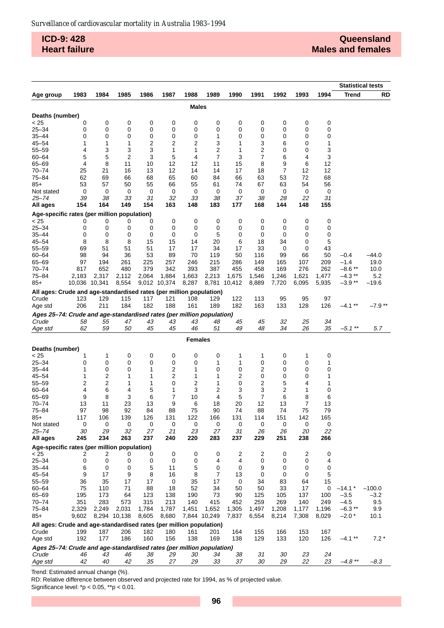**ICD-9: 428 Heart failure**

|                                                                                |               |        |              |        |              |                |        |        |        |        |        |        | <b>Statistical tests</b> |           |
|--------------------------------------------------------------------------------|---------------|--------|--------------|--------|--------------|----------------|--------|--------|--------|--------|--------|--------|--------------------------|-----------|
| Age group                                                                      | 1983          | 1984   | 1985         | 1986   | 1987         | 1988           | 1989   | 1990   | 1991   | 1992   | 1993   | 1994   | Trend                    | <b>RD</b> |
|                                                                                |               |        |              |        |              | <b>Males</b>   |        |        |        |        |        |        |                          |           |
|                                                                                |               |        |              |        |              |                |        |        |        |        |        |        |                          |           |
| Deaths (number)                                                                |               |        |              |        |              |                |        |        |        |        |        |        |                          |           |
| < 25                                                                           | 0             | 0      | 0            | 0      | 0            | 0              | 0      | 0      | 0      | 0      | 0      | 0      |                          |           |
| $25 - 34$                                                                      | 0             | 0      | 0            | 0      | 0            | 0              | 0      | 0      | 0      | 0      | 0      | 0      |                          |           |
| $35 - 44$<br>$45 - 54$                                                         | 0<br>1        | 0<br>1 | 0<br>1       | 0<br>2 | 0<br>2       | 0<br>2         | 1<br>3 | 0<br>1 | 0<br>3 | 0<br>6 | 0<br>0 | 0<br>1 |                          |           |
| $55 - 59$                                                                      | 4             | 3      | 3            | 3      | 1            | 1              | 2      | 1      | 2      | 0      | 0      | 3      |                          |           |
| $60 - 64$                                                                      | 5             | 5      | 2            | 3      | 5            | 4              | 7      | 3      | 7      | 6      | 4      | 3      |                          |           |
| $65 - 69$                                                                      | 4             | 8      | 11           | 10     | 12           | 12             | 11     | 15     | 8      | 9      | 6      | 12     |                          |           |
| $70 - 74$                                                                      | 25            | 21     | 16           | 13     | 12           | 14             | 14     | 17     | 18     | 7      | 12     | 12     |                          |           |
| 75-84                                                                          | 62            | 69     | 66           | 68     | 65           | 60             | 84     | 66     | 63     | 53     | 72     | 68     |                          |           |
| $85+$                                                                          | 53            | 57     | 50           | 55     | 66           | 55             | 61     | 74     | 67     | 63     | 54     | 56     |                          |           |
| Not stated                                                                     | 0             | 0      | 0            | 0      | 0            | 0              | 0      | 0      | 0      | 0      | 0      | 0      |                          |           |
| 25–74                                                                          | 39            | 38     | 33           | 31     | 32           | 33             | 38     | 37     | 38     | 28     | 22     | 31     |                          |           |
| All ages                                                                       | 154           | 164    | 149          | 154    | 163          | 148            | 183    | 177    | 168    | 144    | 148    | 155    |                          |           |
| Age-specific rates (per million population)                                    |               |        |              |        |              |                |        |        |        |        |        |        |                          |           |
| < 25                                                                           | 0             | 0      | 0            | 0      | 0            | 0              | 0      | 0      | 0      | 0      | 0      | 0      |                          |           |
| $25 - 34$                                                                      | 0             | 0      | 0            | 0      | 0            | 0              | 0      | 0      | 0      | 0      | 0      | 0      |                          |           |
| $35 - 44$                                                                      | 0             | 0      | 0            | 0      | 0            | 0              | 5      | 0      | 0      | 0      | 0      | 0      |                          |           |
| $45 - 54$                                                                      | 8             | 8      | 8            | 15     | 15           | 14             | 20     | 6      | 18     | 34     | 0      | 5      |                          |           |
| $55 - 59$                                                                      | 69            | 51     | 51           | 51     | 17           | 17             | 34     | 17     | 33     | 0      | 0      | 43     |                          |           |
| $60 - 64$                                                                      | 98            | 94     | 36           | 53     | 89           | 70             | 119    | 50     | 116    | 99     | 66     | 50     | $-0.4$                   | $-44.0$   |
| $65 - 69$                                                                      | 97            | 194    | 261          | 225    | 257          | 246            | 215    | 286    | 149    | 165    | 107    | 209    | $-1.4$                   | 19.0      |
| $70 - 74$                                                                      | 817           | 652    | 480          | 379    | 342          | 393            | 387    | 455    | 458    | 169    | 276    | 262    | $-8.6**$                 | 10.0      |
| 75-84                                                                          | 2,183         | 2,317  | 2,112        | 2,064  | 1,884        | 1,663          | 2,213  | 1,675  | 1,546  | 1,246  | 1,621  | 1,477  | $-4.3$ **                | 5.2       |
| $85+$                                                                          | 10,036 10,341 |        | 8,554        |        | 9,012 10,374 | 8,287          | 8,781  | 10,412 | 8,889  | 7,720  | 6,095  | 5,935  | $-3.9**$                 | –19.6     |
| All ages: Crude and age-standardised rates (per million population)            |               |        |              |        |              |                |        |        |        |        |        |        |                          |           |
| Crude                                                                          | 123           | 129    | 115          | 117    | 121          | 108            | 129    | 122    | 113    | 95     | 95     | 97     |                          |           |
| Age std                                                                        | 206           | 211    | 184          | 182    | 188          | 161            | 189    | 182    | 163    | 133    | 128    | 126    | $-4.1**$                 | $-7.9**$  |
| Ages 25-74: Crude and age-standardised rates (per million population)          |               |        |              |        |              |                |        |        |        |        |        |        |                          |           |
| Crude                                                                          | 58            | 55     | 47           | 43     | 43           | 43             | 48     | 45     | 45     | 32     | 25     | 34     |                          |           |
| Age std                                                                        | 62            | 59     | 50           | 45     | 45           | 46             | 51     | 49     | 48     | 34     | 26     | 35     | $-5.1$ **                | 5.7       |
| <b>Females</b>                                                                 |               |        |              |        |              |                |        |        |        |        |        |        |                          |           |
| Deaths (number)                                                                |               |        |              |        |              |                |        |        |        |        |        |        |                          |           |
| < 25                                                                           | 1             | 1      | 0            | 0      | 0            | 0              | 0      | 1      | 1      | 0      | 1      | 0      |                          |           |
| $25 - 34$                                                                      | 0             | 0      | 0            | 0      | 0            | 0              | 1      | 1      | 0      | 0      | 0      | 1      |                          |           |
| $35 - 44$                                                                      | 1             | 0      | 0            | 1      | 2            | 1              | 0      | 0      | 2      | 0      | 0      | 0      |                          |           |
| $45 - 54$                                                                      | 1             | 2      | 1            | 1      | 2            | 1              | 1      | 2      | 0      | 0      | 0      | 1      |                          |           |
| $55 - 59$                                                                      | 2             | 2      | 1            | 1      | 0            | $\overline{c}$ | 1      | 0      | 2      | 5      | 4      | 1      |                          |           |
| $60 - 64$                                                                      | 4             | 6      | 4            | 5      | 1            | 3              | 2      | 3      | 3      | 2      | 1      | 0      |                          |           |
| $65 - 69$                                                                      | 9             | 8      | 3            | 6      | 7            | 10             | 4      | 5      | 7      | 6      | 8      | 6      |                          |           |
| $70 - 74$                                                                      | 13            | 11     | 23           | 13     | 9            | 6              | 18     | 20     | 12     | 13     | 7      | 13     |                          |           |
| $75 - 84$                                                                      | 97            | 98     | 92           | 84     | 88           | 75             | 90     | 74     | 88     | 74     | 75     | 79     |                          |           |
| $85+$                                                                          | 117           | 106    | 139          | 126    | 131          | 122            | 166    | 131    | 114    | 151    | 142    | 165    |                          |           |
| Not stated                                                                     | 0             | 0      | 0            | 0      | 0            | 0              | 0      | 0      | 0      | 0      | 0      | 0      |                          |           |
| 25–74                                                                          | 30            | 29     | 32           | 27     | 21           | 23             | 27     | 31     | 26     | 26     | 20     | 22     |                          |           |
| All ages                                                                       | 245           | 234    | 263          | 237    | 240          | 220            | 283    | 237    | 229    | 251    | 238    | 266    |                          |           |
| Age-specific rates (per million population)                                    |               |        |              |        |              |                |        |        |        |        |        |        |                          |           |
| < 25                                                                           | 2             | 2      | 0            | 0      | 0            | 0              | 0      | 2      | 2      | 0      | 2      | 0      |                          |           |
| $25 - 34$<br>$35 - 44$                                                         | 0<br>6        | 0<br>0 | 0<br>0       | 0<br>5 | 0<br>11      | 0<br>5         | 4<br>0 | 4<br>0 | 0<br>9 | 0<br>0 | 0<br>0 | 4      |                          |           |
| $45 - 54$                                                                      | 9             | 17     | 9            | 8      | 16           | 8              | 7      | 13     | 0      | 0      | 0      | 0<br>5 |                          |           |
| $55 - 59$                                                                      | 36            | 35     | 17           | 17     | 0            | 35             | 17     | 0      | 34     | 83     | 64     | 15     |                          |           |
| $60 - 64$                                                                      | 75            | 110    | 71           | 88     | 18           | 52             | 34     | 50     | 50     | 33     | 17     | 0      | $-14.1*$                 | $-100.0$  |
| 65-69                                                                          | 195           | 173    | 64           | 123    | 138          | 190            | 73     | 90     | 125    | 105    | 137    | 100    | $-3.5$                   | $-3.2$    |
| 70-74                                                                          | 351           | 283    | 573          | 315    | 213          | 140            | 415    | 452    | 259    | 269    | 140    | 249    | $-4.5$                   | 9.5       |
| $75 - 84$                                                                      | 2,329         | 2,249  | 2,031        | 1,784  | 1,787        | 1,451          | 1,652  | 1,305  | 1,497  | 1,208  | 1,177  | 1,196  | $-6.3$ **                | 9.9       |
| $85+$                                                                          | 9,602         |        | 8,294 10,138 | 8,605  | 8,680        | 7,844 10,249   |        | 7,837  | 6,554  | 8,214  | 7,308  | 8,029  | $-2.0*$                  | 10.1      |
| All ages: Crude and age-standardised rates (per million population)            |               |        |              |        |              |                |        |        |        |        |        |        |                          |           |
| Crude                                                                          | 199           | 187    | 206          | 182    | 180          | 161            | 201    | 164    | 155    | 166    | 153    | 167    |                          |           |
| Age std                                                                        | 192           | 177    | 186          | 160    | 156          | 138            | 169    | 138    | 129    | 133    | 120    | 126    | $-4.1**$                 | $7.2*$    |
|                                                                                |               |        |              |        |              |                |        |        |        |        |        |        |                          |           |
| Ages 25-74: Crude and age-standardised rates (per million population)<br>Crude | 46            | 43     | 46           | 38     | 29           | 30             | 34     | 38     | 31     | 30     | 23     | 24     |                          |           |
| Age std                                                                        | 42            | 40     | 42           | 35     | 27           | 29             | 33     | 37     | 30     | 29     | 22     | 23     | $-4.8$ **                | $-8.3$    |
|                                                                                |               |        |              |        |              |                |        |        |        |        |        |        |                          |           |

Trend: Estimated annual change (%).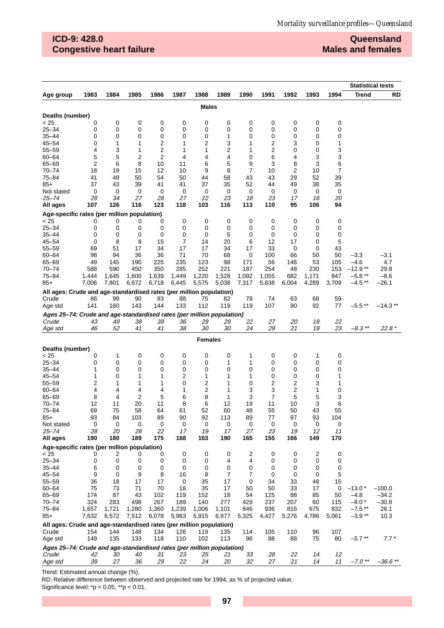# **ICD-9: 428.0 Congestive heart failure**

### **Queensland Males and females**

|                                                                                |         |         |          |                     |         |                |                |                |         |                |         |          | <b>Statistical tests</b> |            |
|--------------------------------------------------------------------------------|---------|---------|----------|---------------------|---------|----------------|----------------|----------------|---------|----------------|---------|----------|--------------------------|------------|
| Age group                                                                      | 1983    | 1984    | 1985     | 1986                | 1987    | 1988           | 1989           | 1990           | 1991    | 1992           | 1993    | 1994     | <b>Trend</b>             | RD         |
|                                                                                |         |         |          |                     |         |                |                |                |         |                |         |          |                          |            |
|                                                                                |         |         |          |                     |         | <b>Males</b>   |                |                |         |                |         |          |                          |            |
| Deaths (number)                                                                |         |         |          |                     |         |                |                |                |         |                |         |          |                          |            |
| < 25                                                                           | 0       | 0       | 0        | 0                   | 0       | 0              | 0              | 0              | 0       | 0              | 0       | 0        |                          |            |
| $25 - 34$                                                                      | 0       | 0       | 0        | 0                   | 0       | 0              | 0              | 0              | 0       | 0              | 0       | 0        |                          |            |
| $35 - 44$                                                                      | 0       | 0       | 0        | 0                   | 0       | 0              | 1              | 0              | 0       | 0              | 0       | 0        |                          |            |
| $45 - 54$<br>$55 - 59$                                                         | 0<br>4  | 1       | 1<br>1   | 2<br>$\overline{c}$ | 1<br>1  | 2<br>1         | 3              | 1<br>1         | 2<br>2  | 3              | 0<br>0  | 1<br>3   |                          |            |
| $60 - 64$                                                                      | 5       | 3<br>5  | 2        | 2                   | 4       | 4              | 2<br>4         | 0              | 6       | 0<br>4         | 3       | 3        |                          |            |
| 65-69                                                                          | 2       | 6       | 8        | 10                  | 11      | 6              | 5              | 9              | 3       | 8              | 3       | 6        |                          |            |
| 70-74                                                                          | 18      | 19      | 15       | 12                  | 10      | 9              | 8              | $\overline{7}$ | 10      | $\overline{2}$ | 10      | 7        |                          |            |
| $75 - 84$                                                                      | 41      | 49      | 50       | 54                  | 50      | 44             | 58             | 43             | 43      | 29             | 52      | 39       |                          |            |
| $85+$                                                                          | 37      | 43      | 39       | 41                  | 41      | 37             | 35             | 52             | 44      | 49             | 38      | 35       |                          |            |
| Not stated                                                                     | 0       | 0       | 0        | 0                   | 0       | 0              | 0              | 0              | 0       | 0              | 0       | 0        |                          |            |
| 25–74                                                                          | 29      | 34      | 27       | 28                  | 27      | 22             | 23             | 18             | 23      | 17             | 16      | 20       |                          |            |
| All ages                                                                       | 107     | 126     | 116      | 123                 | 118     | 103            | 116            | 113            | 110     | 95             | 106     | 94       |                          |            |
| Age-specific rates (per million population)                                    |         |         |          |                     |         |                |                |                |         |                |         |          |                          |            |
| < 25                                                                           | 0       | 0       | 0        | 0                   | 0       | 0              | 0              | 0              | 0       | 0              | 0       | 0        |                          |            |
| $25 - 34$                                                                      | 0       | 0       | 0        | 0                   | 0       | 0              | 0              | 0              | 0       | 0              | 0       | 0        |                          |            |
| 35–44                                                                          | 0       | 0       | 0        | 0                   | 0       | 0              | 5              | 0              | 0       | 0              | 0       | 0        |                          |            |
| $45 - 54$                                                                      | 0       | 8       | 8        | 15                  | 7       | 14             | 20             | 6              | 12      | 17             | 0       | 5        |                          |            |
| $55 - 59$                                                                      | 69      | 51      | 17       | 34                  | 17      | 17             | 34             | 17             | 33      | 0              | 0       | 43       |                          |            |
| $60 - 64$                                                                      | 98      | 94      | 36       | 36                  | 71      | 70             | 68             | 0              | 100     | 66             | 50      | 50       | $-3.3$                   | $-3.1$     |
| 65-69                                                                          | 49      | 145     | 190      | 225                 | 235     | 123            | 98             | 171            | 56      | 146            | 53      | 105      | $-4.6$                   | 4.7        |
| 70-74                                                                          | 588     | 590     | 450      | 350                 | 285     | 252            | 221            | 187            | 254     | 48             | 230     | 153      | $-12.9**$                | 29.8       |
| $75 - 84$                                                                      | 1,444   | 1,645   | 1,600    | 1,639               | 1,449   | 1,220          | 1,528          | 1,092          | 1,055   | 682            | 1,171   | 847      | $-5.8**$                 | $-8.6$     |
| $85+$                                                                          | 7,006   | 7,801   | 6,672    | 6,718               | 6,445   | 5,575          | 5,038          | 7,317          | 5,838   | 6,004          | 4,289   | 3,709    | $-4.5**$                 | $-26.1$    |
| All ages: Crude and age-standardised rates (per million population)            |         |         |          |                     |         |                |                |                |         |                |         |          |                          |            |
| Crude                                                                          | 86      | 99      | 90       | 93                  | 88      | 75             | 82             | 78             | 74      | 63             | 68      | 59       |                          |            |
| Age std                                                                        | 141     | 160     | 143      | 144                 | 133     | 112            | 119            | 119            | 107     | 90             | 92      | 77       | $-5.5**$                 | $-14.3**$  |
| Ages 25-74: Crude and age-standardised rates (per million population)          |         |         |          |                     |         |                |                |                |         |                |         |          |                          |            |
| Crude                                                                          | 43      | 49      | 38       | 39                  | 36      | 29             | 29             | 22             | 27      | 20             | 18      | 22       |                          |            |
| Age std                                                                        | 46      | 52      | 41       | 41                  | 38      | 30             | 30             | 24             | 29      | 21             | 19      | 23       | $-8.3$ **                | $22.8*$    |
|                                                                                |         |         |          |                     |         |                |                |                |         |                |         |          |                          |            |
|                                                                                |         |         |          |                     |         | <b>Females</b> |                |                |         |                |         |          |                          |            |
| Deaths (number)                                                                |         |         |          |                     |         |                |                |                |         |                |         |          |                          |            |
| < 25                                                                           | 0       | 1       | 0        | 0                   | 0       | 0              | 0              | 1              | 0       | 0              | 1       | 0        |                          |            |
| $25 - 34$                                                                      | 0       | 0       | 0        | 0                   | 0       | 0              | 1              | 1              | 0       | 0              | 0       | 0        |                          |            |
| $35 - 44$                                                                      | 1       | 0       | 0        | 0                   | 0       | 0              | 0              | 0              | 0       | 0              | 0       | 0        |                          |            |
| $45 - 54$                                                                      | 1       | 0       | 1        | 1                   | 2       | 1              | 1              | 1              | 0       | 0              | 0       | 1        |                          |            |
| $55 - 59$                                                                      | 2       | 1       | 1        | 1                   | 0       | 2              | 1              | 0              | 2       | 2              | 3       | 1        |                          |            |
| $60 - 64$                                                                      | 4       | 4       | 4        | 4                   | 1       | 2              | 1              | 3              | 3       | 2              | 1       | 0        |                          |            |
| 65-69                                                                          | 8       | 4       | 2        | 5                   | 6       | 8              | 1              | 3              | 7       | 5              | 5       | 3        |                          |            |
| $70 - 74$                                                                      | 12      | 11      | 20       | 11                  | 8       | 6              | 12             | 19             | 11      | 10             | 3       | 6        |                          |            |
| $75 - 84$                                                                      | 69      | 75      | 58       | 64                  | 61      | 52             | 60             | 48             | 55      | 50             | 43      | 55       |                          |            |
| $85+$<br>Not stated                                                            | 93<br>0 | 84<br>0 | 103<br>0 | 89<br>0             | 90<br>0 | 92<br>0        | 113<br>0       | 89<br>0        | 77<br>0 | 97<br>0        | 93<br>0 | 104<br>0 |                          |            |
| 25–74                                                                          | 28      | 20      | 28       | 22                  | 17      | 19             | 17             | 27             | 23      | 19             | 12      | 11       |                          |            |
| All ages                                                                       | 190     | 180     | 189      | 175                 | 168     | 163            | 190            | 165            | 155     | 166            | 149     | 170      |                          |            |
|                                                                                |         |         |          |                     |         |                |                |                |         |                |         |          |                          |            |
| Age-specific rates (per million population)<br>< 25                            | 0       | 2       | 0        | 0                   | 0       | 0              | 0              | 2              | 0       | 0              | 2       | 0        |                          |            |
| $25 - 34$                                                                      | 0       | 0       | 0        | 0                   | 0       | 0              | 4              | 4              | 0       | 0              | 0       | 0        |                          |            |
| $35 - 44$                                                                      | 6       | 0       | 0        | 0                   | 0       | 0              | 0              | 0              | 0       | 0              | 0       | 0        |                          |            |
| $45 - 54$                                                                      | 9       | 0       | 9        | 8                   | 16      | 8              | $\overline{7}$ | 7              | 0       | 0              | 0       | 5        |                          |            |
| 55-59                                                                          | 36      | 18      | 17       | 17                  | 0       | 35             | 17             | 0              | 34      | 33             | 48      | 15       |                          |            |
| $60 - 64$                                                                      | 75      | 73      | 71       | 70                  | 18      | 35             | 17             | 50             | 50      | 33             | 17      | 0        | $-13.0*$                 | $-100.0$   |
| 65-69                                                                          | 174     | 87      | 43       | 102                 | 119     | 152            | 18             | 54             | 125     | 88             | 85      | 50       | $-4.8$                   | $-34.2$    |
| 70-74                                                                          | 324     | 283     | 498      | 267                 | 189     | 140            | 277            | 429            | 237     | 207            | 60      | 115      | $-8.0*$                  | $-30.8$    |
| $75 - 84$                                                                      | 1,657   | 1,721   | 1,280    | 1,360               | 1,239   | 1,006          | 1,101          | 846            | 936     | 816            | 675     | 832      | $-7.5**$                 | 26.1       |
| $85+$                                                                          | 7,632   | 6,572   | 7,512    | 6,078               | 5,963   | 5,915          | 6,977          | 5,325          | 4,427   | 5,276          | 4,786   | 5,061    | $-3.9**$                 | 10.3       |
| All ages: Crude and age-standardised rates (per million population)            |         |         |          |                     |         |                |                |                |         |                |         |          |                          |            |
| Crude                                                                          | 154     | 144     | 148      | 134                 | 126     | 119            | 135            | 114            | 105     | 110            | 96      | 107      |                          |            |
| Age std                                                                        | 149     | 135     | 133      | 118                 | 110     | 102            | 113            | 96             | 88      | 88             | 75      | 80       | $-5.7**$                 | $7.7*$     |
|                                                                                |         |         |          |                     |         |                |                |                |         |                |         |          |                          |            |
| Ages 25-74: Crude and age-standardised rates (per million population)<br>Crude | 42      | 30      | 40       | 31                  | 23      | 25             | 21             | 33             | 28      | 22             | 14      | 12       |                          |            |
| Age std                                                                        | 39      | 27      | 36       | 29                  | 22      | 24             | 20             | 32             | 27      | 21             | 14      | 11       | $-7.0$ **                | $-36.6$ ** |
|                                                                                |         |         |          |                     |         |                |                |                |         |                |         |          |                          |            |

Trend: Estimated annual change (%).

RD: Relative difference between observed and projected rate for 1994, as % of projected value.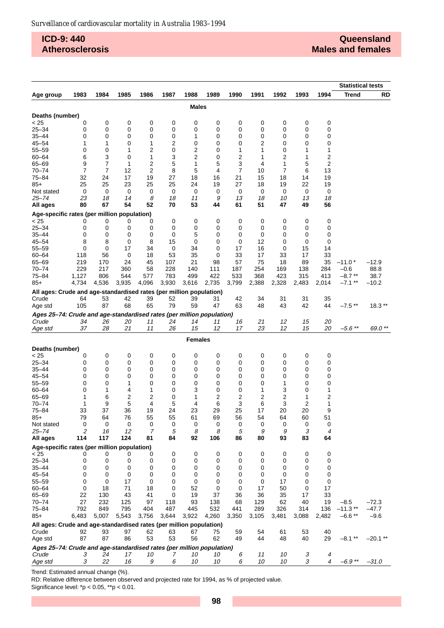## **ICD-9: 440 Atherosclerosis**

|                                                                       |                |                |          |              |          |                         |              |                |                |                |              |                | <b>Statistical tests</b> |                 |
|-----------------------------------------------------------------------|----------------|----------------|----------|--------------|----------|-------------------------|--------------|----------------|----------------|----------------|--------------|----------------|--------------------------|-----------------|
| Age group                                                             | 1983           | 1984           | 1985     | 1986         | 1987     | 1988                    | 1989         | 1990           | 1991           | 1992           | 1993         | 1994           | <b>Trend</b>             | <b>RD</b>       |
|                                                                       |                |                |          |              |          | Males                   |              |                |                |                |              |                |                          |                 |
| Deaths (number)                                                       |                |                |          |              |          |                         |              |                |                |                |              |                |                          |                 |
| < 25                                                                  | 0              | 0              | 0        | 0            | 0        | 0                       | 0            | 0              | 0              | 0              | 0            | 0              |                          |                 |
| $25 - 34$                                                             | 0              | 0              | 0        | 0            | 0        | 0                       | 0            | 0              | 0              | 0              | 0            | 0              |                          |                 |
| $35 - 44$                                                             | 0              | 0              | 0        | 0            | 0        | 1                       | 0            | 0              | 0              | 0              | 0            | 0              |                          |                 |
| $45 - 54$                                                             | 1              | 1              | 0        | 1            | 2        | 0                       | 0            | 0              | $\overline{c}$ | 0              | 0            | 0              |                          |                 |
| $55 - 59$                                                             | 0              | 0              | 1        | 2            | 0        | $\overline{\mathbf{c}}$ | 0            | 1              | 1              | 0              | 1            | 1              |                          |                 |
| $60 - 64$                                                             | 6              | 3              | 0        | 1            | 3        | $\overline{2}$          | 0            | 2              | 1              | 2              | 1            | 2              |                          |                 |
| $65 - 69$                                                             | 9              | 7              | 1        | 2            | 5        | 1                       | 5            | 3              | 4              | 1              | 5            | 2              |                          |                 |
| $70 - 74$                                                             | $\overline{7}$ | $\overline{7}$ | 12       | 2            | 8        | 5                       | 4            | $\overline{7}$ | 10             | $\overline{7}$ | 6            | 13             |                          |                 |
| 75-84                                                                 | 32             | 24             | 17       | 19           | 27       | 18                      | 16           | 21             | 15             | 18             | 14           | 19             |                          |                 |
| $85+$                                                                 | 25             | 25             | 23       | 25           | 25       | 24                      | 19           | 27             | 18             | 19             | 22           | 19             |                          |                 |
| Not stated<br>25–74                                                   | 0<br>23        | 0<br>18        | 0<br>14  | 0<br>8       | 0<br>18  | 0<br>11                 | 0<br>9       | 0<br>13        | 0<br>18        | 0<br>10        | 0<br>13      | 0<br>18        |                          |                 |
| All ages                                                              | 80             | 67             | 54       | 52           | 70       | 53                      | 44           | 61             | 51             | 47             | 49           | 56             |                          |                 |
| Age-specific rates (per million population)                           |                |                |          |              |          |                         |              |                |                |                |              |                |                          |                 |
| < 25                                                                  | 0              | 0              | 0        | 0            | 0        | 0                       | 0            | 0              | 0              | 0              | 0            | 0              |                          |                 |
| $25 - 34$                                                             | 0              | 0              | 0        | 0            | 0        | 0                       | 0            | 0              | 0              | 0              | 0            | 0              |                          |                 |
| $35 - 44$                                                             | 0              | 0              | 0        | 0            | 0        | 5                       | 0            | 0              | 0              | 0              | 0            | 0              |                          |                 |
| $45 - 54$                                                             | 8              | 8              | 0        | 8            | 15       | 0                       | 0            | 0              | 12             | 0              | 0            | 0              |                          |                 |
| $55 - 59$                                                             | 0              | 0              | 17       | 34           | 0        | 34                      | 0            | 17             | 16             | 0              | 15           | 14             |                          |                 |
| $60 - 64$                                                             | 118            | 56             | 0        | 18           | 53       | 35                      | 0            | 33             | 17             | 33             | 17           | 33             |                          |                 |
| $65 - 69$                                                             | 219            | 170            | 24       | 45           | 107      | 21                      | 98           | 57             | 75             | 18             | 89           | 35             | $-11.0*$                 | $-12.9$         |
| $70 - 74$                                                             | 229            | 217            | 360      | 58           | 228      | 140                     | 111          | 187            | 254            | 169            | 138          | 284            | $-0.6$<br>$-8.7**$       | 88.8            |
| 75-84                                                                 | 1,127<br>4,734 | 806<br>4,536   | 544      | 577<br>4,096 | 783      | 499                     | 422<br>2,735 | 533<br>3,799   | 368<br>2,388   | 423<br>2,328   | 315<br>2,483 | 413            | $-7.1$ **                | 38.7<br>$-10.2$ |
| 85+                                                                   |                |                | 3,935    |              | 3,930    | 3,616                   |              |                |                |                |              | 2,014          |                          |                 |
| All ages: Crude and age-standardised rates (per million population)   |                |                |          |              |          |                         |              |                |                |                |              |                |                          |                 |
| Crude                                                                 | 64             | 53             | 42       | 39           | 52       | 39                      | 31           | 42             | 34             | 31             | 31           | 35             |                          |                 |
| Age std                                                               | 105            | 87             | 68       | 65           | 79       | 59                      | 47           | 63             | 48             | 43             | 42           | 44             | $-7.5$ **                | $18.3**$        |
| Ages 25-74: Crude and age-standardised rates (per million population) |                |                |          |              |          |                         |              |                |                |                |              |                |                          |                 |
| Crude                                                                 | 34<br>37       | 26<br>28       | 20<br>21 | 11<br>11     | 24<br>26 | 14<br>15                | 11<br>12     | 16<br>17       | 21<br>23       | 12<br>12       | 15<br>15     | 20<br>20       | $-5.6$ **                | 69.0 **         |
| Age std                                                               |                |                |          |              |          |                         |              |                |                |                |              |                |                          |                 |
|                                                                       |                |                |          |              |          | <b>Females</b>          |              |                |                |                |              |                |                          |                 |
| Deaths (number)                                                       |                |                |          |              |          |                         |              |                |                |                |              |                |                          |                 |
| < 25                                                                  | 0              | 0              | 0        | 0            | 0        | 0                       | 0            | 0              | 0              | 0              | 0            | 0              |                          |                 |
| $25 - 34$<br>$35 - 44$                                                | 0              | 0              | 0        | 0            | 0        | 0                       | 0            | 0              | 0              | 0              | 0<br>0       | 0              |                          |                 |
| $45 - 54$                                                             | 0<br>0         | 0<br>0         | 0<br>0   | 0<br>0       | 0<br>0   | 0<br>0                  | 0<br>0       | 0<br>0         | 0<br>0         | 0<br>0         | 0            | 0<br>0         |                          |                 |
| $55 - 59$                                                             | 0              | 0              | 1        | 0            | 0        | 0                       | 0            | 0              | 0              | 1              | 0            | 0              |                          |                 |
| $60 - 64$                                                             | 0              | 1              | 4        | 1            | 0        | 3                       | 0            | 0              | 1              | 3              | 0            | 1              |                          |                 |
| $65 - 69$                                                             | 1              | 6              | 2        | 2            | 0        | 1                       | 2            | 2              | 2              | 2              | 1            | 2              |                          |                 |
| $70 - 74$                                                             | 1              | 9              | 5        | 4            | 5        | 4                       | 6            | 3              | 6              | 3              | 2            | 1              |                          |                 |
| $75 - 84$                                                             | 33             | 37             | 36       | 19           | 24       | 23                      | 29           | 25             | 17             | 20             | 20           | 9              |                          |                 |
| 85+                                                                   | 79             | 64             | 76       | 55           | 55       | 61                      | 69           | 56             | 54             | 64             | 60           | 51             |                          |                 |
| Not stated                                                            | 0              | 0              | 0        | 0            | 0        | 0                       | 0            | 0              | 0              | 0              | 0            | 0              |                          |                 |
| $25 - 74$                                                             | 2              | 16             | 12       | 7            | 5        | 8                       | 8            | 5              | 9              | 9              | 3            | 4              |                          |                 |
| All ages                                                              | 114            | 117            | 124      | 81           | 84       | 92                      | 106          | 86             | 80             | 93             | 83           | 64             |                          |                 |
| Age-specific rates (per million population)<br>< 25                   | 0              | 0              | 0        | 0            | 0        | 0                       | $\mathbf 0$  | 0              | 0              | 0              | 0            | 0              |                          |                 |
| $25 - 34$                                                             | 0              | 0              | 0        | 0            | 0        | 0                       | 0            | 0              | 0              | 0              | 0            | 0              |                          |                 |
| $35 - 44$                                                             | 0              | 0              | 0        | 0            | 0        | 0                       | 0            | 0              | 0              | 0              | 0            | 0              |                          |                 |
| $45 - 54$                                                             | $\mathbf 0$    | 0              | 0        | 0            | 0        | 0                       | 0            | 0              | 0              | 0              | 0            | 0              |                          |                 |
| $55 - 59$                                                             | 0              | $\mathbf 0$    | 17       | $\mathbf 0$  | 0        | 0                       | 0            | 0              | 0              | 17             | 0            | 0              |                          |                 |
| $60 - 64$                                                             | 0              | 18             | 71       | 18           | 0        | 52                      | 0            | 0              | 17             | 50             | 0            | 17             |                          |                 |
| $65 - 69$                                                             | 22             | 130            | 43       | 41           | 0        | 19                      | 37           | 36             | 36             | 35             | 17           | 33             |                          |                 |
| $70 - 74$                                                             | 27             | 232            | 125      | 97           | 118      | 93                      | 138          | 68             | 129            | 62             | 40           | 19             | $-8.5$                   | $-72.3$         |
| $75 - 84$                                                             | 792            | 849            | 795      | 404          | 487      | 445                     | 532          | 441            | 289            | 326            | 314          | 136            | $-11.3$ **               | $-47.7$         |
| $85+$                                                                 | 6,483          | 5,007          | 5,543    | 3,756        | 3,644    | 3,922                   | 4,260        | 3,350          | 3,105          | 3,481          | 3,088        | 2,482          | $-6.6**$                 | $-9.6$          |
| All ages: Crude and age-standardised rates (per million population)   |                |                |          |              |          |                         |              |                |                |                |              |                |                          |                 |
| Crude                                                                 | 92             | 93             | 97       | 62           | 63       | 67                      | 75           | 59             | 54             | 61             | 53           | 40             |                          |                 |
| Age std                                                               | 87             | 87             | 86       | 53           | 53       | 56                      | 62           | 49             | 44             | 48             | 40           | 29             | $-8.1**$                 | $-20.1**$       |
| Ages 25-74: Crude and age-standardised rates (per million population) |                |                |          |              |          |                         |              |                |                |                |              |                |                          |                 |
| Crude                                                                 | 3              | 24             | 17       | 10           | 7        | 10                      | 10           | 6              | 11             | 10             | 3            | 4              |                          |                 |
| Age std                                                               | 3              | 22             | 16       | 9            | 6        | 10                      | 10           | 6              | 10             | 10             | 3            | $\overline{4}$ | $-6.9**$                 | $-31.0$         |

Trend: Estimated annual change (%).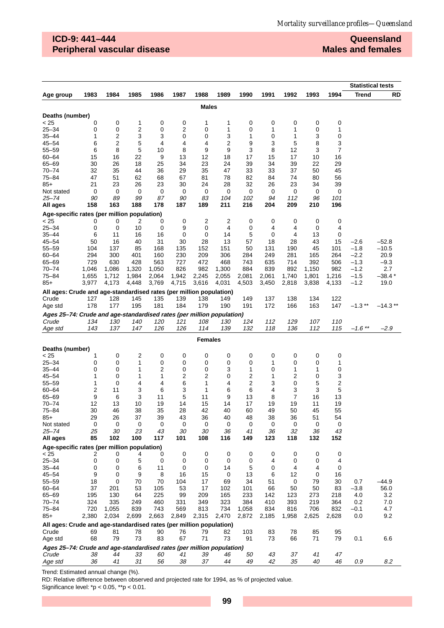## **ICD-9: 441–444 Peripheral vascular disease**

**Queensland Males and females**

|                                                                                |                |                         |                |                     |                |                         |                         |                |                |                |                |                | <b>Statistical tests</b> |                  |
|--------------------------------------------------------------------------------|----------------|-------------------------|----------------|---------------------|----------------|-------------------------|-------------------------|----------------|----------------|----------------|----------------|----------------|--------------------------|------------------|
| Age group                                                                      | 1983           | 1984                    | 1985           | 1986                | 1987           | 1988                    | 1989                    | 1990           | 1991           | 1992           | 1993           | 1994           | Trend                    | <b>RD</b>        |
|                                                                                |                |                         |                |                     |                | <b>Males</b>            |                         |                |                |                |                |                |                          |                  |
|                                                                                |                |                         |                |                     |                |                         |                         |                |                |                |                |                |                          |                  |
| Deaths (number)<br>< 25                                                        | 0              | 0                       | 1              | 0                   | 0              | 1                       | 1                       | 0              | 0              | 0              | 0              | 0              |                          |                  |
| $25 - 34$                                                                      | 0              | 0                       | 2              | 0                   | 2              | 0                       | 1                       | 0              | 1              | 1              | 0              | 1              |                          |                  |
| $35 - 44$                                                                      | 1              | $\overline{\mathbf{c}}$ | 3              | 3                   | 0              | 0                       | 3                       | 1              | 0              | 1              | 3              | 0              |                          |                  |
| $45 - 54$                                                                      | 6              | 2                       | 5              | $\overline{4}$      | 4              | 4                       | 2                       | 9              | 3              | 5              | 8              | 3              |                          |                  |
| $55 - 59$                                                                      | 6              | 8                       | 5              | 10                  | 8              | 9                       | 9                       | 3              | 8              | 12             | 3              | 7              |                          |                  |
| $60 - 64$                                                                      | 15             | 16                      | 22             | 9                   | 13             | 12                      | 18                      | 17             | 15             | 17             | 10             | 16             |                          |                  |
| 65-69                                                                          | 30             | 26                      | 18             | 25                  | 34             | 23                      | 24                      | 39             | 34             | 39             | 22             | 29             |                          |                  |
| $70 - 74$                                                                      | 32             | 35                      | 44             | 36                  | 29             | 35                      | 47                      | 33             | 33             | 37             | 50             | 45             |                          |                  |
| $75 - 84$                                                                      | 47             | 51                      | 62             | 68                  | 67             | 81                      | 78                      | 82             | 84             | 74             | 80             | 56             |                          |                  |
| $85+$                                                                          | 21<br>0        | 23<br>0                 | 26             | 23<br>0             | 30<br>0        | 24<br>0                 | 28<br>0                 | 32<br>0        | 26<br>0        | 23<br>0        | 34<br>0        | 39<br>0        |                          |                  |
| Not stated<br>25–74                                                            | 90             | 89                      | 0<br>99        | 87                  | 90             | 83                      | 104                     | 102            | 94             | 112            | 96             | 101            |                          |                  |
| All ages                                                                       | 158            | 163                     | 188            | 178                 | 187            | 189                     | 211                     | 216            | 204            | 209            | 210            | 196            |                          |                  |
| Age-specific rates (per million population)                                    |                |                         |                |                     |                |                         |                         |                |                |                |                |                |                          |                  |
| < 25                                                                           | 0              | 0                       | 2              | 0                   | 0              | $\overline{\mathbf{c}}$ | $\overline{\mathbf{c}}$ | 0              | 0              | 0              | 0              | 0              |                          |                  |
| $25 - 34$                                                                      | 0              | 0                       | 10             | 0                   | 9              | 0                       | 4                       | 0              | 4              | 4              | 0              | 4              |                          |                  |
| 35–44                                                                          | 6              | 11                      | 16             | 16                  | 0              | 0                       | 14                      | 5              | 0              | 4              | 13             | 0              |                          |                  |
| $45 - 54$                                                                      | 50             | 16                      | 40             | 31                  | 30             | 28                      | 13                      | 57             | 18             | 28             | 43             | 15             | $-2.6$                   | $-52.8$          |
| $55 - 59$                                                                      | 104            | 137                     | 85             | 168                 | 135            | 152                     | 151                     | 50             | 131            | 190            | 45             | 101            | $-1.8$                   | $-10.5$          |
| $60 - 64$                                                                      | 294            | 300                     | 401            | 160                 | 230            | 209                     | 306                     | 284            | 249            | 281            | 165            | 264            | $-2.2$                   | 20.9             |
| $65 - 69$                                                                      | 729            | 630                     | 428            | 563                 | 727            | 472                     | 468                     | 743            | 635            | 714            | 392            | 506            | $-1.3$                   | $-9.3$           |
| $70 - 74$                                                                      | 1,046          | 1,086                   | 1,320          | 1,050               | 826            | 982                     | 1,300                   | 884            | 839            | 892            | 1,150          | 982            | $-1.2$                   | 2.7              |
| $75 - 84$<br>$85+$                                                             | 1,655<br>3,977 | 1,712<br>4,173          | 1,984<br>4,448 | 2,064<br>3,769      | 1,942<br>4,715 | 2,245<br>3,616          | 2,055<br>4,031          | 2,081<br>4,503 | 2,061<br>3,450 | 1,740<br>2,818 | 1,801<br>3,838 | 1,216<br>4,133 | $-1.5$<br>$-1.2$         | $-38.4*$<br>19.0 |
|                                                                                |                |                         |                |                     |                |                         |                         |                |                |                |                |                |                          |                  |
| All ages: Crude and age-standardised rates (per million population)<br>Crude   | 127            | 128                     | 145            | 135                 | 139            | 138                     | 149                     | 149            | 137            | 138            | 134            | 122            |                          |                  |
| Age std                                                                        | 178            | 177                     | 195            | 181                 | 184            | 179                     | 190                     | 191            | 172            | 166            | 163            | 147            | $-1.3$ **                | $-14.3**$        |
|                                                                                |                |                         |                |                     |                |                         |                         |                |                |                |                |                |                          |                  |
| Ages 25-74: Crude and age-standardised rates (per million population)<br>Crude | 134            | 130                     | 140            | 120                 | 121            | 108                     | 130                     | 124            | 112            | 129            | 107            | 110            |                          |                  |
| Age std                                                                        | 143            | 137                     | 147            | 126                 | 126            | 114                     | 139                     | 132            | 118            | 136            | 112            | 115            | $-1.6$ **                | $-2.9$           |
|                                                                                |                |                         |                |                     |                |                         |                         |                |                |                |                |                |                          |                  |
|                                                                                |                |                         |                |                     |                | <b>Females</b>          |                         |                |                |                |                |                |                          |                  |
| Deaths (number)                                                                |                |                         |                |                     |                |                         |                         |                |                |                |                |                |                          |                  |
| < 25<br>$25 - 34$                                                              | 1              | 0                       | 2<br>1         | 0                   | 0<br>0         | 0                       | 0                       | 0              | 0              | 0<br>0         | 0              | 0<br>1         |                          |                  |
| $35 - 44$                                                                      | 0<br>0         | 0<br>0                  | 1              | 0<br>$\overline{2}$ | 0              | 0<br>0                  | 0<br>3                  | 0<br>1         | 1<br>0         | 1              | 0<br>1         | 0              |                          |                  |
| $45 - 54$                                                                      | 1              | 0                       | 1              | 1                   | 2              | 2                       | 0                       | 2              | 1              | 2              | 0              | 3              |                          |                  |
| $55 - 59$                                                                      | 1              | 0                       | 4              | 4                   | 6              | 1                       | 4                       | 2              | 3              | 0              | 5              | 2              |                          |                  |
| $60 - 64$                                                                      | 2              | 11                      | 3              | 6                   | 3              | 1                       | 6                       | 6              | 4              | 3              | 3              | 5              |                          |                  |
| 65-69                                                                          | 9              | 6                       | 3              | 11                  | 5              | 11                      | 9                       | 13             | 8              | 7              | 16             | 13             |                          |                  |
| $70 - 74$                                                                      | 12             | 13                      | 10             | 19                  | 14             | 15                      | 14                      | 17             | 19             | 19             | 11             | 19             |                          |                  |
| $75 - 84$                                                                      | 30             | 46                      | 38             | 35                  | 28             | 42                      | 40                      | 60             | 49             | 50             | 45             | 55             |                          |                  |
| $85+$                                                                          | 29             | 26                      | 37             | 39                  | 43             | 36                      | 40                      | 48             | 38             | 36             | 51             | 54             |                          |                  |
| Not stated<br>$25 - 74$                                                        | 0<br>25        | 0<br>30                 | 0<br>23        | 0<br>43             | 0<br>30        | 0<br>30                 | 0<br>36                 | 0<br>41        | 0<br>36        | 0<br>32        | 0<br>36        | 0<br>43        |                          |                  |
| All ages                                                                       | 85             | 102                     | 100            | 117                 | 101            | 108                     | 116                     | 149            | 123            | 118            | 132            | 152            |                          |                  |
| Age-specific rates (per million population)                                    |                |                         |                |                     |                |                         |                         |                |                |                |                |                |                          |                  |
| < 25                                                                           | 2              | 0                       | 4              | 0                   | 0              | 0                       | 0                       | 0              | 0              | 0              | 0              | 0              |                          |                  |
| $25 - 34$                                                                      | 0              | 0                       | 5              | 0                   | 0              | 0                       | 0                       | 0              | 4              | 0              | 0              | 4              |                          |                  |
| $35 - 44$                                                                      | 0              | 0                       | 6              | 11                  | 0              | 0                       | 14                      | 5              | 0              | 4              | 4              | 0              |                          |                  |
| 45–54                                                                          | 9              | 0                       | 9              | 8                   | 16             | 15                      | 0                       | 13             | 6              | 12             | 0              | 16             |                          |                  |
| 55-59                                                                          | 18             | $\mathbf 0$             | 70             | 70                  | 104            | 17                      | 69                      | 34             | 51             | 0              | 79             | 30             | 0.7                      | -44.9            |
| $60 - 64$                                                                      | 37             | 201                     | 53             | 105                 | 53             | 17                      | 102                     | 101            | 66             | 50             | 50             | 83             | $-3.8$                   | 56.0             |
| 65-69                                                                          | 195            | 130                     | 64             | 225                 | 99             | 209                     | 165                     | 233            | 142            | 123            | 273            | 218            | 4.0                      | 3.2              |
| 70-74                                                                          | 324            | 335                     | 249            | 460                 | 331            | 349                     | 323                     | 384<br>1.058   | 410            | 393            | 219            | 364            | 0.2                      | 7.0              |
| 75–84<br>85+                                                                   | 720<br>2,380   | 1,055<br>2,034          | 839<br>2,699   | 743<br>2,663        | 569<br>2,849   | 813<br>2,315            | 734<br>2,470            | 2,872          | 834<br>2,185   | 816<br>1,958   | 706<br>2,625   | 832<br>2,628   | $-0.1$<br>0.0            | 4.7<br>9.2       |
|                                                                                |                |                         |                |                     |                |                         |                         |                |                |                |                |                |                          |                  |
| All ages: Crude and age-standardised rates (per million population)<br>Crude   |                | 81                      | 78             | 90                  | 76             | 79                      | 82                      | 103            | 83             | 78             | 85             | 95             |                          |                  |
| Age std                                                                        | 69<br>68       | 79                      | 73             | 83                  | 67             | 71                      | 73                      | 91             | 73             | 66             | 71             | 79             | 0.1                      | 6.6              |
| Ages 25-74: Crude and age-standardised rates (per million population)          |                |                         |                |                     |                |                         |                         |                |                |                |                |                |                          |                  |
| Crude                                                                          | 38             | 44                      | 33             | 60                  | 41             | 39                      | 46                      | 50             | 43             | 37             | 41             | 47             |                          |                  |
| Age std                                                                        | 36             | 41                      | 31             | 56                  | 38             | 37                      | 44                      | 49             | 42             | 35             | 40             | 46             | 0.9                      | 8.2              |

Trend: Estimated annual change (%).

RD: Relative difference between observed and projected rate for 1994, as % of projected value.